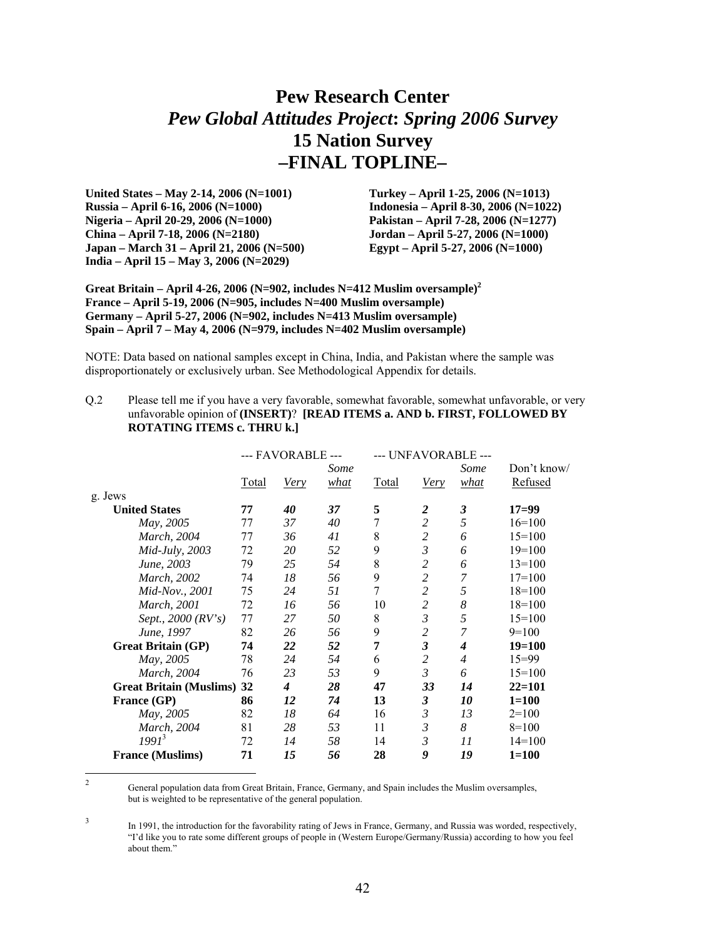# **Pew Research Center**  *Pew Global Attitudes Project***:** *Spring 2006 Survey* **15 Nation Survey –FINAL TOPLINE–**

**United States – May 2-14, 2006 (N=1001) Russia – April 6-16, 2006 (N=1000) Nigeria – April 20-29, 2006 (N=1000) China – April 7-18, 2006 (N=2180) Japan – March 31 – April 21, 2006 (N=500) India – April 15 – May 3, 2006 (N=2029)** 

**Turkey – April 1-25, 2006 (N=1013) Indonesia – April 8-30, 2006 (N=1022) Pakistan – April 7-28, 2006 (N=1277) Jordan – April 5-27, 2006 (N=1000) Egypt – April 5-27, 2006 (N=1000)** 

**Great Britain – April 4-26, 2006 (N=902, includes N=412 Muslim oversample)<sup>2</sup> France – April 5-19, 2006 (N=905, includes N=400 Muslim oversample) Germany – April 5-27, 2006 (N=902, includes N=413 Muslim oversample) Spain – April 7 – May 4, 2006 (N=979, includes N=402 Muslim oversample)** 

NOTE: Data based on national samples except in China, India, and Pakistan where the sample was disproportionately or exclusively urban. See Methodological Appendix for details.

Q.2 Please tell me if you have a very favorable, somewhat favorable, somewhat unfavorable, or very unfavorable opinion of **(INSERT)**? **[READ ITEMS a. AND b. FIRST, FOLLOWED BY ROTATING ITEMS c. THRU k.]** 

|                                   |       | --- FAVORABLE --- |      |       | --- UNFAVORABLE ---  |                |             |
|-----------------------------------|-------|-------------------|------|-------|----------------------|----------------|-------------|
|                                   |       |                   | Some |       |                      | Some           | Don't know/ |
|                                   | Total | Very              | what | Total | Very                 | what           | Refused     |
| g. Jews                           |       |                   |      |       |                      |                |             |
| <b>United States</b>              | 77    | 40                | 37   | 5     | 2                    | 3              | $17=99$     |
| May, 2005                         | 77    | 37                | 40   | 7     | $\overline{c}$       | 5              | $16=100$    |
| <i>March</i> , 2004               | 77    | 36                | 41   | 8     | $\overline{c}$       | 6              | $15=100$    |
| <i>Mid-July</i> , 2003            | 72    | 20                | 52   | 9     | 3                    | 6              | $19=100$    |
| June, 2003                        | 79    | 25                | 54   | 8     | 2                    | 6              | $13=100$    |
| March, 2002                       | 74    | 18                | 56   | 9     | 2                    | 7              | $17 = 100$  |
| Mid-Nov., 2001                    | 75    | 24                | 51   | 7     | 2                    | 5              | $18=100$    |
| <i>March, 2001</i>                | 72    | 16                | 56   | 10    | $\overline{c}$       | 8              | $18=100$    |
| Sept., 2000 (RV's)                | 77    | 27                | 50   | 8     | $\mathfrak{Z}$       | 5              | $15=100$    |
| June, 1997                        | 82    | 26                | 56   | 9     | $\overline{c}$       | 7              | $9=100$     |
| <b>Great Britain (GP)</b>         | 74    | 22                | 52   | 7     | $\mathfrak{z}$       | 4              | $19=100$    |
| May, 2005                         | 78    | 24                | 54   | 6     | 2                    | $\overline{4}$ | $15 = 99$   |
| March, 2004                       | 76    | 23                | 53   | 9     | 3                    | 6              | $15=100$    |
| <b>Great Britain (Muslims) 32</b> |       | 4                 | 28   | 47    | 33                   | 14             | $22=101$    |
| France (GP)                       | 86    | 12                | 74   | 13    | $\boldsymbol{\beta}$ | 10             | $1 = 100$   |
| May, 2005                         | 82    | 18                | 64   | 16    | 3                    | 13             | $2=100$     |
| <i>March, 2004</i>                | 81    | 28                | 53   | 11    | 3                    | 8              | $8=100$     |
| $1991^3$                          | 72    | 14                | 58   | 14    | 3                    | 11             | $14=100$    |
| <b>France (Muslims)</b>           | 71    | 15                | 56   | 28    | 9                    | 19             | $1 = 100$   |

 $\frac{1}{2}$  General population data from Great Britain, France, Germany, and Spain includes the Muslim oversamples, but is weighted to be representative of the general population.

3 In 1991, the introduction for the favorability rating of Jews in France, Germany, and Russia was worded, respectively, "I'd like you to rate some different groups of people in (Western Europe/Germany/Russia) according to how you feel about them."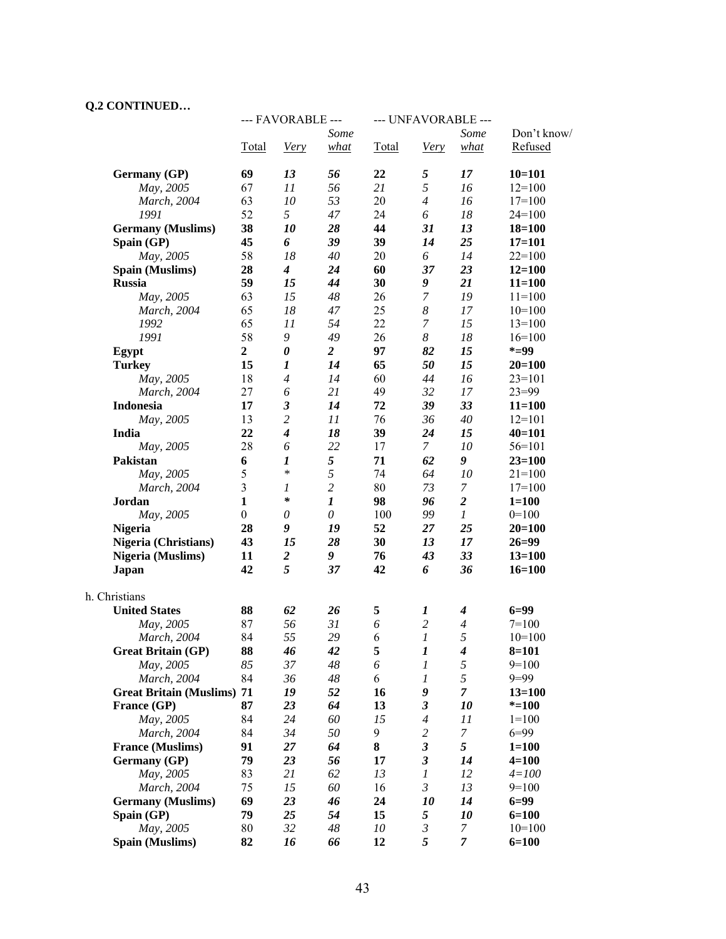#### **Q.2 CONTINUED…**

|                                   |                  | --- FAVORABLE ---           |                  | --- UNFAVORABLE --- |                             |                  |             |
|-----------------------------------|------------------|-----------------------------|------------------|---------------------|-----------------------------|------------------|-------------|
|                                   |                  |                             | Some             |                     |                             | Some             | Don't know/ |
|                                   | Total            | <b>Very</b>                 | what             | Total               | <b>Very</b>                 | what             | Refused     |
| Germany (GP)                      | 69               | 13                          | 56               | 22                  | 5                           | 17               | $10 = 101$  |
| May, 2005                         | 67               | 11                          | 56               | 21                  | 5                           | 16               | $12=100$    |
| March, 2004                       | 63               | 10                          | 53               | 20                  | $\overline{4}$              | 16               | $17=100$    |
| 1991                              | 52               | 5                           | 47               | 24                  | 6                           | 18               | $24=100$    |
| <b>Germany</b> (Muslims)          | 38               | 10                          | 28               | 44                  | 31                          | 13               | $18 = 100$  |
| Spain (GP)                        | 45               | 6                           | 39               | 39                  | 14                          | 25               | $17=101$    |
| May, 2005                         | 58               | 18                          | 40               | 20                  | 6                           | 14               | $22=100$    |
| Spain (Muslims)                   | 28               | $\boldsymbol{4}$            | 24               | 60                  | 37                          | 23               | $12 = 100$  |
| <b>Russia</b>                     | 59               | 15                          | 44               | 30                  | 9                           | 21               | $11 = 100$  |
| May, 2005                         | 63               | 15                          | 48               | 26                  | 7                           | 19               | $11=100$    |
| March, 2004                       | 65               | 18                          | 47               | 25                  | $\boldsymbol{8}$            | 17               | $10=100$    |
| 1992                              | 65               | 11                          | 54               | 22                  | 7                           | 15               | $13=100$    |
| 1991                              | 58               | 9                           | 49               | 26                  | 8                           | 18               | $16=100$    |
| Egypt                             | $\overline{2}$   | $\boldsymbol{\theta}$       | $\overline{2}$   | 97                  | 82                          | 15               | $* = 99$    |
| <b>Turkey</b>                     | 15               | 1                           | 14               | 65                  | 50                          | 15               | $20 = 100$  |
| May, 2005                         | 18               | $\overline{4}$              | 14               | 60                  | 44                          | 16               | $23=101$    |
| March, 2004                       | 27               | 6                           | 21               | 49                  | 32                          | 17               | $23 = 99$   |
| <b>Indonesia</b>                  | 17               | $\boldsymbol{\mathfrak{z}}$ | 14               | 72                  | 39                          | 33               | $11 = 100$  |
| May, 2005                         | 13               | $\overline{c}$              | 11               | 76                  | 36                          | 40               | $12=101$    |
| India                             | 22               | $\boldsymbol{4}$            | 18               | 39                  | 24                          | 15               | $40 = 101$  |
| May, 2005                         | 28               | 6                           | 22               | 17                  | $\mathcal{I}$               | 10               | $56 = 101$  |
| Pakistan                          | 6                | 1                           | 5                | 71                  | 62                          | 9                | $23 = 100$  |
| May, 2005                         | 5                | $\ast$                      | 5                | 74                  | 64                          | 10               | $21 = 100$  |
| March, 2004                       | $\overline{3}$   | 1                           | $\overline{c}$   | 80                  | 73                          | 7                | $17=100$    |
| Jordan                            | $\mathbf{1}$     | $\ast$                      | $\boldsymbol{l}$ | 98                  | 96                          | $\overline{c}$   | $1 = 100$   |
| May, 2005                         | $\boldsymbol{0}$ | 0                           | $\theta$         | 100                 | 99                          | $\boldsymbol{l}$ | $0=100$     |
| <b>Nigeria</b>                    | 28               | 9                           | 19               | 52                  | 27                          | 25               | $20 = 100$  |
| <b>Nigeria (Christians)</b>       | 43               | 15                          | 28               | 30                  | 13                          | 17               | $26 = 99$   |
| <b>Nigeria</b> (Muslims)          | 11               | $\boldsymbol{2}$            | 9                | 76                  | 43                          | 33               | $13 = 100$  |
| <b>Japan</b>                      | 42               | 5                           | 37               | 42                  | 6                           | 36               | $16 = 100$  |
| h. Christians                     |                  |                             |                  |                     |                             |                  |             |
| <b>United States</b>              | 88               | 62                          | 26               | 5                   | 1                           | 4                | $6 = 99$    |
| May, 2005                         | 87               | 56                          | 31               | 6                   | $\sqrt{2}$                  | 4                | $7 = 100$   |
| March, 2004                       | 84               | 55                          | 29               | 6                   | $\boldsymbol{l}$            | 5                | $10=100$    |
| <b>Great Britain (GP)</b>         | 88               | 46                          | 42               | 5                   | $\boldsymbol{l}$            | 4                | $8 = 101$   |
| May, 2005                         | 85               | 37                          | 48               | 6                   | 1                           | 5                | $9=100$     |
| March, 2004                       | 84               | 36                          | 48               | 6                   | 1                           | 5                | $9=99$      |
| <b>Great Britain (Muslims) 71</b> |                  | 19                          | 52               | 16                  | 9                           | 7                | $13 = 100$  |
| France (GP)                       | 87               | 23                          | 64               | 13                  | $\boldsymbol{\mathfrak{z}}$ | 10               | $*=100$     |
| May, 2005                         | 84               | 24                          | 60               | 15                  | $\overline{4}$              | 11               | $1 = 100$   |
| March, 2004                       | 84               | 34                          | 50               | 9                   | $\overline{c}$              | 7                | $6 = 99$    |
| <b>France (Muslims)</b>           | 91               | 27                          | 64               | 8                   | $\boldsymbol{\mathfrak{z}}$ | 5                | $1 = 100$   |
| Germany (GP)                      | 79               | 23                          | 56               | 17                  | $\boldsymbol{\beta}$        | 14               | $4 = 100$   |
| May, 2005                         | 83               | 21                          | 62               | 13                  | $\boldsymbol{l}$            | 12               | $4 = 100$   |
| March, 2004                       | 75               | 15                          | 60               | 16                  | $\mathfrak{Z}$              | 13               | $9=100$     |
| <b>Germany</b> (Muslims)          | 69               | 23                          | 46               | 24                  | 10                          | 14               | $6 = 99$    |
| Spain (GP)                        | 79               | 25                          | 54               | 15                  | 5                           | 10               | $6 = 100$   |
| May, 2005                         | 80               | 32                          | 48               | 10                  | 3                           | 7                | $10=100$    |
| Spain (Muslims)                   | 82               | 16                          | 66               | 12                  | 5                           | 7                | $6 = 100$   |
|                                   |                  |                             |                  |                     |                             |                  |             |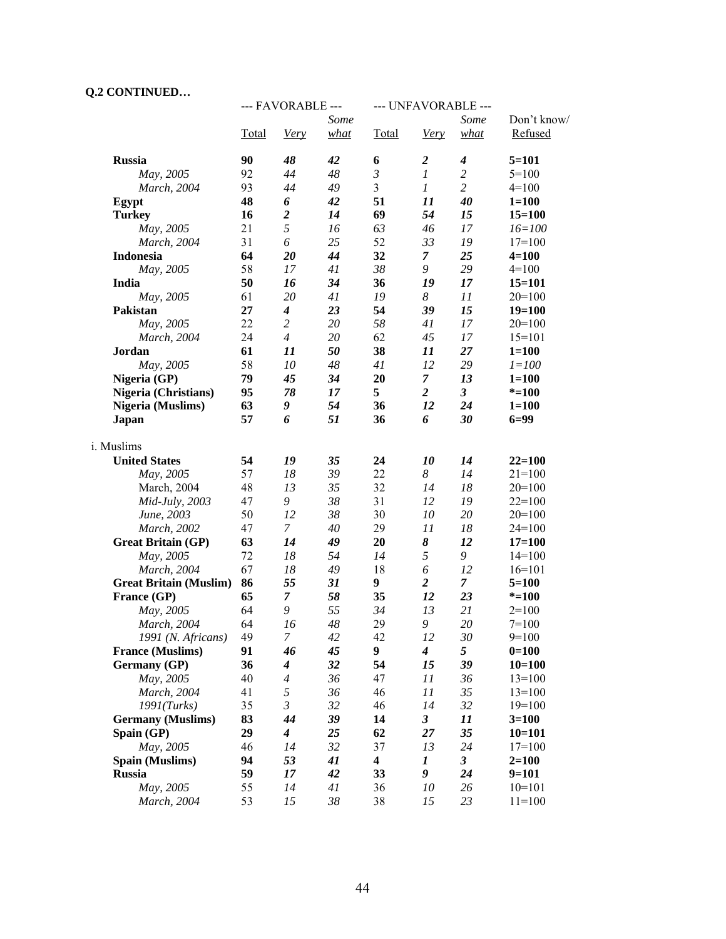## **Q.2 CONTINUED…**

|                                            |       | --- FAVORABLE --- |              | --- UNFAVORABLE ---     |                      |                      |                        |  |
|--------------------------------------------|-------|-------------------|--------------|-------------------------|----------------------|----------------------|------------------------|--|
|                                            | Total | Very              | Some<br>what | Total                   | Very                 | Some<br>what         | Don't know/<br>Refused |  |
| <b>Russia</b>                              | 90    | 48                | 42           | 6                       | $\boldsymbol{2}$     | $\boldsymbol{4}$     | $5 = 101$              |  |
| May, 2005                                  | 92    | 44                | 48           | $\mathfrak{Z}$          | $\mathfrak l$        | $\overline{c}$       | $5 = 100$              |  |
| March, 2004                                | 93    | 44                | 49           | $\overline{\mathbf{3}}$ | $\boldsymbol{l}$     | $\overline{c}$       | $4=100$                |  |
| Egypt                                      | 48    | 6                 | 42           | 51                      | 11                   | 40                   | $1 = 100$              |  |
| <b>Turkey</b>                              | 16    | $\boldsymbol{2}$  | 14           | 69                      | 54                   | 15                   | $15 = 100$             |  |
| May, 2005                                  | 21    | 5                 | 16           | 63                      | 46                   | 17                   | $16 = 100$             |  |
| March, 2004                                | 31    | 6                 | 25           | 52                      | 33                   | 19                   | $17=100$               |  |
| Indonesia                                  | 64    | 20                | 44           | 32                      | $\overline{7}$       | 25                   | $4 = 100$              |  |
| May, 2005                                  | 58    | 17                | 41           | 38                      | 9                    | 29                   | $4=100$                |  |
| India                                      | 50    | 16                | 34           | 36                      | 19                   | 17                   | $15 = 101$             |  |
| May, 2005                                  | 61    | 20                | 41           | 19                      | 8                    | 11                   | $20=100$               |  |
| Pakistan                                   | 27    | $\boldsymbol{4}$  | 23           | 54                      | 39                   | 15                   | $19=100$               |  |
| May, 2005                                  | 22    | $\overline{c}$    | 20           | 58                      | 41                   | 17                   | $20=100$               |  |
| March, 2004                                | 24    | $\overline{4}$    | 20           | 62                      | 45                   | 17                   | $15=101$               |  |
| Jordan                                     | 61    | 11                | 50           | 38                      | 11                   | 27                   | $1 = 100$              |  |
| May, 2005                                  | 58    | 10                | 48           | 41                      | 12                   | 29                   | $1 = 100$              |  |
| Nigeria (GP)                               | 79    | 45                | 34           | 20                      | $\mathcal{T}$        | 13                   | $1 = 100$              |  |
| Nigeria (Christians)                       | 95    | 78                | 17           | 5                       | $\overline{a}$       | 3 <sup>7</sup>       | $* = 100$              |  |
| <b>Nigeria (Muslims)</b>                   | 63    | 9                 | 54           | 36                      | 12                   | 24                   | $1 = 100$              |  |
| <b>Japan</b>                               | 57    | 6                 | 51           | 36                      | 6                    | 30                   | $6 = 99$               |  |
| i. Muslims                                 |       |                   |              |                         |                      |                      |                        |  |
| <b>United States</b>                       | 54    | 19                | 35           | 24                      | 10                   | 14                   | $22 = 100$             |  |
| May, 2005                                  | 57    | 18                | 39           | 22                      | 8                    | 14                   | $21=100$               |  |
| March, 2004                                | 48    | 13                | 35           | 32                      | 14                   | 18                   | $20=100$               |  |
| Mid-July, 2003                             | 47    | 9                 | 38           | 31                      | 12                   | 19                   | $22=100$               |  |
| June, 2003                                 | 50    | 12                | 38           | 30                      | 10                   | 20                   | $20=100$               |  |
| March, 2002                                | 47    | $\mathcal{I}$     | 40           | 29                      | 11                   | 18                   | $24=100$               |  |
| <b>Great Britain (GP)</b>                  | 63    | 14                | 49           | 20                      | 8                    | 12                   | $17=100$               |  |
| May, 2005                                  | 72    | 18                | 54           | 14                      | 5                    | 9                    | $14=100$               |  |
| March, 2004                                | 67    | 18                | 49           | 18                      | 6                    | 12                   | $16=101$               |  |
| <b>Great Britain (Muslim)</b>              | 86    | 55                | 31           | 9                       | $\overline{2}$       | $\overline{7}$       | $5 = 100$              |  |
| France (GP)                                | 65    | $\overline{7}$    | 58           | 35                      | 12                   | 23                   | $* = 100$              |  |
| May, 2005                                  | 64    | 9                 | 55           | 34                      | 13                   | 21                   | $2=100$                |  |
| March, 2004                                | 64    | 16                | 48           | 29                      | 9                    | 20                   | $7 = 100$              |  |
| 1991 (N. Africans)                         | 49    | 7                 | 42           | 42                      | 12                   | 30                   | $9=100$                |  |
| <b>France (Muslims)</b>                    | 91    | 46                | 45           | 9                       | $\boldsymbol{4}$     | 5                    | $0=100$                |  |
| Germany (GP)                               | 36    | $\boldsymbol{4}$  | 32           | 54                      | 15                   | 39                   | $10=100$               |  |
| May, 2005                                  | 40    | $\overline{4}$    | 36           | 47                      | 11                   | 36                   | $13=100$               |  |
| March, 2004                                | 41    | 5                 | 36           | 46                      | 11                   | 35                   | $13=100$               |  |
| 1991 (Turks)                               | 35    | $\mathfrak{Z}$    | 32           | 46                      | 14                   | 32                   | $19=100$               |  |
| <b>Germany</b> (Muslims)                   | 83    | 44                | 39           | 14                      | $\boldsymbol{\beta}$ | 11                   | $3=100$                |  |
|                                            | 29    | $\boldsymbol{4}$  | 25           | 62                      | $27\,$               | 35                   | $10=101$               |  |
|                                            | 46    | 14                | 32           | 37                      | 13                   | 24                   | $17=100$               |  |
|                                            | 94    | 53                | 41           | $\overline{\mathbf{4}}$ | $\boldsymbol{l}$     | $\boldsymbol{\beta}$ | $2=100$                |  |
| <b>Russia</b>                              | 59    | 17                | 42           | 33                      | 9                    | 24                   | $9=101$                |  |
| May, 2005                                  | 55    | 14                | 41           | 36                      | 10                   | 26                   | $10=101$               |  |
| March, 2004                                | 53    | 15                | $38\,$       | 38                      | 15                   | 23                   | $11=100$               |  |
| Spain (GP)<br>May, 2005<br>Spain (Muslims) |       |                   |              |                         |                      |                      |                        |  |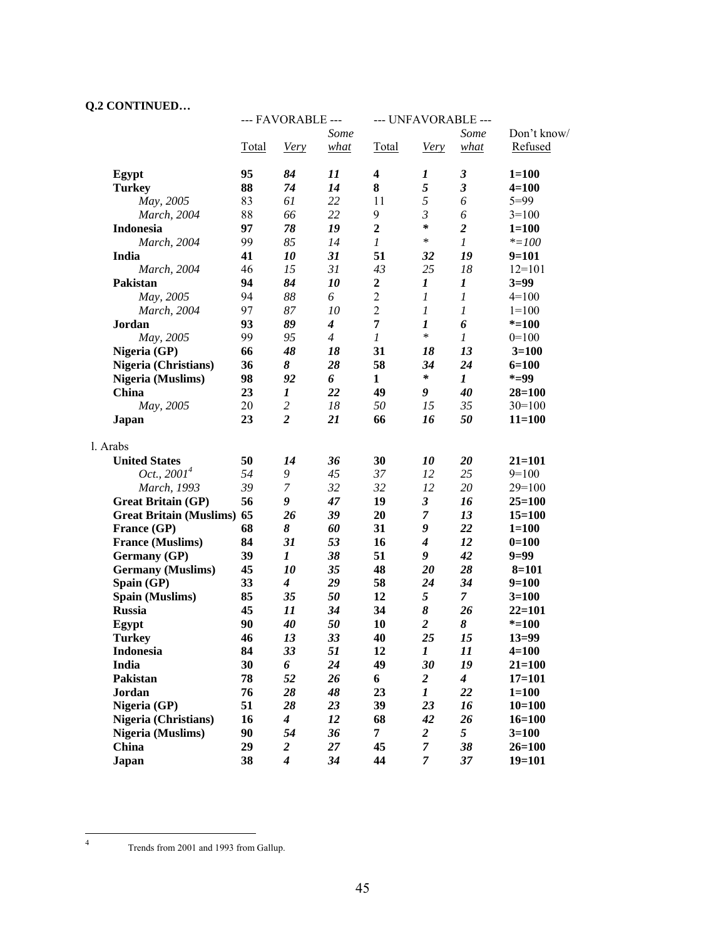## **Q.2 CONTINUED…**

|                                   | --- FAVORABLE --- |                             | --- UNFAVORABLE --- |                  |                         |                      |             |
|-----------------------------------|-------------------|-----------------------------|---------------------|------------------|-------------------------|----------------------|-------------|
|                                   |                   |                             | Some                |                  |                         | Some                 | Don't know/ |
|                                   | Total             | Very                        | what                | Total            | Very                    | what                 | Refused     |
|                                   |                   |                             |                     |                  |                         |                      |             |
| Egypt                             | 95                | 84                          | 11                  | $\boldsymbol{4}$ | 1                       | $\boldsymbol{\beta}$ | $1 = 100$   |
| <b>Turkey</b>                     | 88                | 74                          | 14                  | 8                | 5                       | $\mathfrak{z}$       | $4 = 100$   |
| May, 2005                         | 83                | 61                          | 22                  | 11               | 5                       | 6                    | $5 = 99$    |
| March, 2004                       | 88                | 66                          | 22                  | 9                | $\mathfrak{Z}$          | 6                    | $3=100$     |
| <b>Indonesia</b>                  | 97                | 78                          | 19                  | $\mathbf{2}$     | $\ast$                  | $\boldsymbol{2}$     | $1 = 100$   |
| March, 2004                       | 99                | 85                          | 14                  | $\boldsymbol{l}$ | $\ast$                  | $\boldsymbol{l}$     | $* = 100$   |
| India                             | 41                | 10                          | 31                  | 51               | 32                      | 19                   | $9=101$     |
| March, 2004                       | 46                | 15                          | 31                  | 43               | 25                      | 18                   | $12=101$    |
| Pakistan                          | 94                | 84                          | 10                  | $\boldsymbol{2}$ | $\boldsymbol{I}$        | $\boldsymbol{I}$     | $3=99$      |
| May, 2005                         | 94                | 88                          | 6                   | $\overline{c}$   | $\mathfrak{1}$          | $\mathfrak{1}$       | $4=100$     |
| March, 2004                       | 97                | 87                          | 10                  | $\boldsymbol{2}$ | $\boldsymbol{l}$        | 1                    | $1=100$     |
| Jordan                            | 93                | 89                          | $\boldsymbol{4}$    | $\overline{7}$   | 1                       | 6                    | $* = 100$   |
| May, 2005                         | 99                | 95                          | $\overline{4}$      | $\boldsymbol{l}$ | $\ast$                  | $\mathcal{I}$        | $0=100$     |
| Nigeria (GP)                      | 66                | 48                          | 18                  | 31               | 18                      | 13                   | $3=100$     |
| Nigeria (Christians)              | 36                | 8                           | 28                  | 58               | 34                      | 24                   | $6 = 100$   |
|                                   | 98                | 92                          | 6                   | $\mathbf{1}$     | $\ast$                  | $\boldsymbol{I}$     | $* = 99$    |
| Nigeria (Muslims)<br>China        | 23                |                             | 22                  | 49               | 9                       | 40                   | $28 = 100$  |
|                                   |                   | $\bm{l}$                    |                     |                  |                         |                      |             |
| May, 2005                         | 20                | $\overline{c}$              | 18                  | 50               | 15                      | 35                   | $30=100$    |
| <b>Japan</b>                      | 23                | $\overline{2}$              | 21                  | 66               | 16                      | 50                   | $11 = 100$  |
| l. Arabs                          |                   |                             |                     |                  |                         |                      |             |
| <b>United States</b>              | 50                | 14                          | 36                  | 30               | 10                      | 20                   | $21 = 101$  |
| Oct., $2001^4$                    | 54                | 9                           | 45                  | 37               | 12                      | 25                   | $9=100$     |
| March, 1993                       | 39                | $\boldsymbol{7}$            | 32                  | 32               | 12                      | 20                   | $29=100$    |
| <b>Great Britain (GP)</b>         | 56                | 9                           | 47                  | 19               | $\mathfrak{z}$          | 16                   | $25 = 100$  |
| <b>Great Britain (Muslims) 65</b> |                   | 26                          | 39                  | 20               | $\mathcal{I}$           | 13                   | $15 = 100$  |
| France (GP)                       | 68                | 8                           | 60                  | 31               | 9                       | 22                   | $1 = 100$   |
| <b>France (Muslims)</b>           | 84                | 31                          | 53                  | 16               | $\boldsymbol{4}$        | 12                   | $0=100$     |
|                                   | 39                | 1                           | 38                  | 51               | 9                       | 42                   | $9=99$      |
| Germany (GP)                      |                   |                             |                     |                  |                         |                      |             |
| <b>Germany</b> (Muslims)          | 45                | 10                          | 35                  | 48               | 20                      | 28                   | $8 = 101$   |
| Spain (GP)                        | 33                | $\boldsymbol{4}$            | 29                  | 58               | 24                      | 34                   | $9=100$     |
| Spain (Muslims)                   | 85                | 35                          | 50                  | 12               | 5                       | $\mathcal{T}$        | $3=100$     |
| <b>Russia</b>                     | 45                | 11                          | 34                  | 34               | 8                       | 26                   | $22 = 101$  |
| Egypt                             | 90                | 40                          | 50                  | 10               | $\overline{c}$          | 8                    | $* = 100$   |
| <b>Turkey</b>                     | 46                | 13                          | 33                  | 40               | 25                      | 15                   | $13 = 99$   |
| <b>Indonesia</b>                  | 84                | 33                          | 51                  | 12               | $\boldsymbol{l}$        | 11                   | $4 = 100$   |
| India                             | 30                | 6                           | 24                  | 49               | $30\,$                  | 19                   | $21 = 100$  |
| Pakistan                          | 78                | 52                          | 26                  | 6                | $\overline{\mathbf{2}}$ | $\boldsymbol{4}$     | $17=101$    |
| Jordan                            | 76                | 28                          | 48                  | 23               | $\boldsymbol{l}$        | 22                   | $1 = 100$   |
| Nigeria (GP)                      | 51                | 28                          | 23                  | 39               | 23                      | 16                   | $10=100$    |
| Nigeria (Christians)              | 16                | $\overline{\mathbf{4}}$     | 12                  | 68               | 42                      | 26                   | $16=100$    |
| <b>Nigeria</b> (Muslims)          | 90                | 54                          | 36                  | 7                | $\boldsymbol{2}$        | 5 <sup>5</sup>       | $3=100$     |
| China                             | 29                | $\boldsymbol{2}$            | 27                  | 45               | $\overline{7}$          | 38                   | $26 = 100$  |
| <b>Japan</b>                      | 38                | $\overline{\boldsymbol{4}}$ | 34                  | 44               | 7                       | 37                   | $19=101$    |
|                                   |                   |                             |                     |                  |                         |                      |             |

 $\frac{1}{4}$ 

Trends from 2001 and 1993 from Gallup.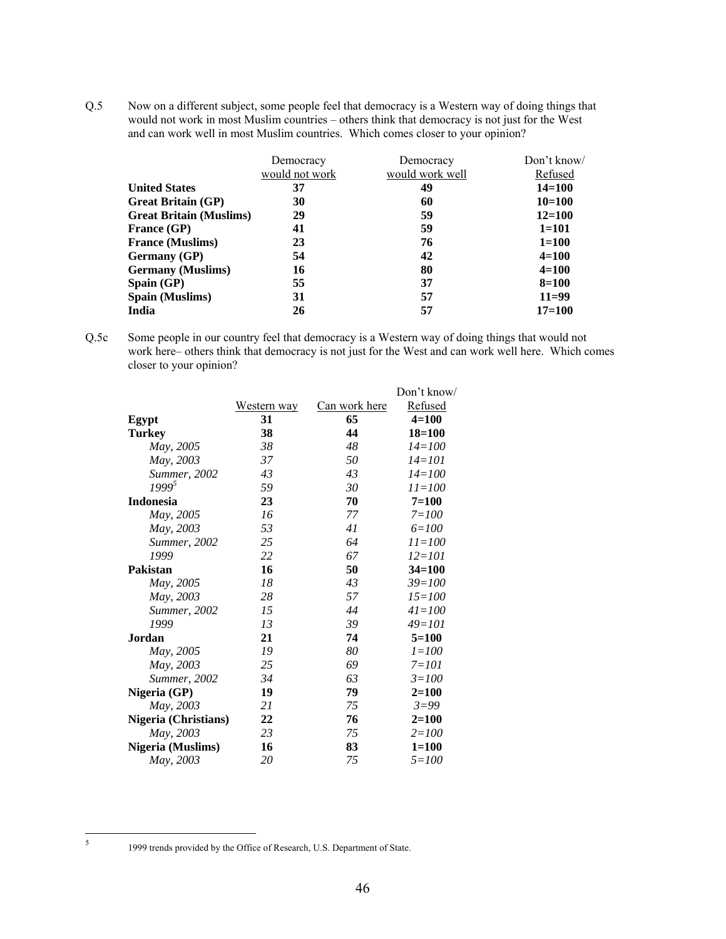Q.5 Now on a different subject, some people feel that democracy is a Western way of doing things that would not work in most Muslim countries – others think that democracy is not just for the West and can work well in most Muslim countries. Which comes closer to your opinion?

|                                | Democracy<br>would not work | Democracy<br>would work well | Don't know/<br>Refused |
|--------------------------------|-----------------------------|------------------------------|------------------------|
| <b>United States</b>           | 37                          | 49                           | $14 = 100$             |
| <b>Great Britain (GP)</b>      | 30                          | 60                           | $10=100$               |
| <b>Great Britain (Muslims)</b> | 29                          | 59                           | $12 = 100$             |
| <b>France (GP)</b>             | 41                          | 59                           | $1 = 101$              |
| <b>France (Muslims)</b>        | 23                          | 76                           | $1 = 100$              |
| <b>Germany</b> (GP)            | 54                          | 42                           | $4 = 100$              |
| <b>Germany</b> (Muslims)       | 16                          | 80                           | $4 = 100$              |
| $\mathbf{Span}(\mathbf{GP})$   | 55                          | 37                           | $8 = 100$              |
| <b>Spain (Muslims)</b>         | 31                          | 57                           | $11=99$                |
| India                          | 26                          | 57                           | $17=100$               |

Q.5c Some people in our country feel that democracy is a Western way of doing things that would not work here– others think that democracy is not just for the West and can work well here. Which comes closer to your opinion?

|                            | <u>Can work here</u> | Refused    |
|----------------------------|----------------------|------------|
| 31                         | 65                   | $4 = 100$  |
| 38                         | 44                   | $18 = 100$ |
| 38                         | 48                   | $14 = 100$ |
| 37                         | 50                   | $14 = 101$ |
| 43                         | 43                   | $14 = 100$ |
| 59                         | 30                   | $11 = 100$ |
| 23                         | 70                   | $7 = 100$  |
| 16                         | 77                   | $7 = 100$  |
| 53                         | 41                   | $6 = 100$  |
| 25                         | 64                   | $11 = 100$ |
| 22                         | 67                   | $12 = 101$ |
| 16                         | 50                   | $34 = 100$ |
| 18                         | 43                   | $39 = 100$ |
| 28                         | 57                   | $15 = 100$ |
| 15                         | 44                   | $41 = 100$ |
| 13                         | 39                   | $49=101$   |
| 21                         | 74                   | $5=100$    |
| 19                         | 80                   | $1 = 100$  |
| 25                         | 69                   | $7 = 101$  |
| 34                         | 63                   | $3 = 100$  |
| 19                         | 79                   | $2 = 100$  |
| 21                         | 75                   | $3 = 99$   |
| Nigeria (Christians)<br>22 | 76                   | $2 = 100$  |
| 23                         | 75                   | $2 = 100$  |
| 16                         | 83                   | $1 = 100$  |
| 20                         | 75                   | $5 = 100$  |
|                            | Western way          |            |

 $\frac{1}{5}$ 

 <sup>1999</sup> trends provided by the Office of Research, U.S. Department of State.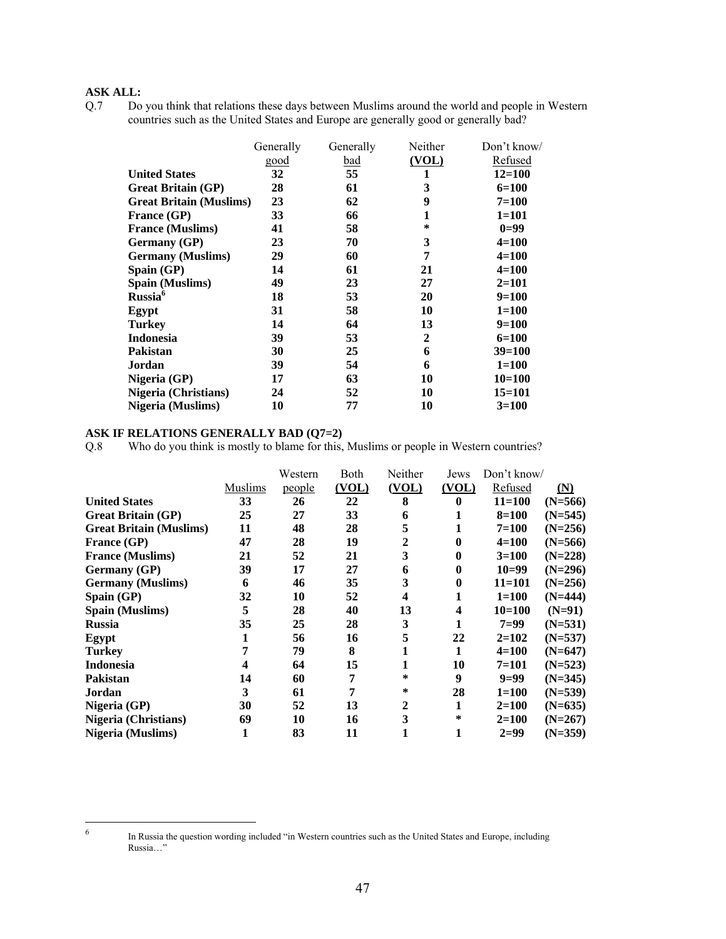## **ASK ALL:**

Q.7 Do you think that relations these days between Muslims around the world and people in Western countries such as the United States and Europe are generally good or generally bad?

|                                | Generally | Generally | Neither      | Don't know/ |
|--------------------------------|-----------|-----------|--------------|-------------|
|                                | good      | bad       | (VOL)        | Refused     |
| <b>United States</b>           | 32        | 55        | 1            | $12 = 100$  |
| <b>Great Britain (GP)</b>      | 28        | 61        | 3            | $6=100$     |
| <b>Great Britain (Muslims)</b> | 23        | 62        | 9            | $7 = 100$   |
| <b>France (GP)</b>             | 33        | 66        |              | $1 = 101$   |
| <b>France (Muslims)</b>        | 41        | 58        | *            | $0=99$      |
| <b>Germany</b> (GP)            | 23        | 70        | 3            | $4 = 100$   |
| <b>Germany</b> (Muslims)       | 29        | 60        | 7            | $4 = 100$   |
| Spain (GP)                     | 14        | 61        | 21           | $4 = 100$   |
| <b>Spain (Muslims)</b>         | 49        | 23        | 27           | $2=101$     |
| Russia <sup>6</sup>            | 18        | 53        | 20           | $9=100$     |
| Egypt                          | 31        | 58        | 10           | $1 = 100$   |
| Turkey                         | 14        | 64        | 13           | $9=100$     |
| <b>Indonesia</b>               | 39        | 53        | $\mathbf{2}$ | $6=100$     |
| <b>Pakistan</b>                | 30        | 25        | 6            | $39=100$    |
| Jordan                         | 39        | 54        | 6            | $1 = 100$   |
| Nigeria $(GP)$                 | 17        | 63        | 10           | $10=100$    |
| <b>Nigeria (Christians)</b>    | 24        | 52        | 10           | $15 = 101$  |
| <b>Nigeria</b> (Muslims)       | 10        | 77        | 10           | $3=100$     |
|                                |           |           |              |             |

## **ASK IF RELATIONS GENERALLY BAD (Q7=2)**

Q.8 Who do you think is mostly to blame for this, Muslims or people in Western countries?

|                                |         | Western | Both  | Neither          | Jews                    | Don't know/ |                   |
|--------------------------------|---------|---------|-------|------------------|-------------------------|-------------|-------------------|
|                                | Muslims | people  | (VOL) | (VOL)            | (VOL)                   | Refused     | $(\underline{N})$ |
| <b>United States</b>           | 33      | 26      | 22    | 8                | 0                       | $11 = 100$  | $(N=566)$         |
| <b>Great Britain (GP)</b>      | 25      | 27      | 33    | 6                | 1                       | $8 = 100$   | $(N=545)$         |
| <b>Great Britain (Muslims)</b> | 11      | 48      | 28    | 5                | 1                       | $7 = 100$   | $(N=256)$         |
| France (GP)                    | 47      | 28      | 19    | $\boldsymbol{2}$ | $\bf{0}$                | $4 = 100$   | $(N=566)$         |
| <b>France (Muslims)</b>        | 21      | 52      | 21    | 3                | 0                       | $3=100$     | $(N=228)$         |
| <b>Germany</b> (GP)            | 39      | 17      | 27    | 6                | $\bf{0}$                | $10=99$     | $(N=296)$         |
| <b>Germany</b> (Muslims)       | 6       | 46      | 35    | 3                | $\bf{0}$                | $11 = 101$  | $(N=256)$         |
| $\mathbf{Span}(\mathbf{GP})$   | 32      | 10      | 52    | 4                | 1                       | $1 = 100$   | $(N=444)$         |
| Spain (Muslims)                | 5       | 28      | 40    | 13               | $\overline{\mathbf{4}}$ | $10 = 100$  | $(N=91)$          |
| <b>Russia</b>                  | 35      | 25      | 28    | 3                | 1                       | $7=99$      | $(N=531)$         |
| Egypt                          | 1       | 56      | 16    | 5                | 22                      | $2=102$     | $(N=537)$         |
| <b>Turkey</b>                  | 7       | 79      | 8     | 1                | 1                       | $4 = 100$   | $(N=647)$         |
| <b>Indonesia</b>               | 4       | 64      | 15    |                  | 10                      | 7=101       | $(N=523)$         |
| <b>Pakistan</b>                | 14      | 60      | 7     | ∗                | 9                       | $9=99$      | $(N=345)$         |
| Jordan                         | 3       | 61      | 7     | ∗                | 28                      | $1 = 100$   | $(N=539)$         |
| Nigeria (GP)                   | 30      | 52      | 13    | $\mathbf{2}$     | 1                       | $2=100$     | $(N=635)$         |
| <b>Nigeria</b> (Christians)    | 69      | 10      | 16    | 3                | *                       | $2=100$     | $(N=267)$         |
| Nigeria (Muslims)              |         | 83      | 11    |                  | 1                       | $2=99$      | $(N=359)$         |

 $\frac{1}{6}$ 

In Russia the question wording included "in Western countries such as the United States and Europe, including Russia…"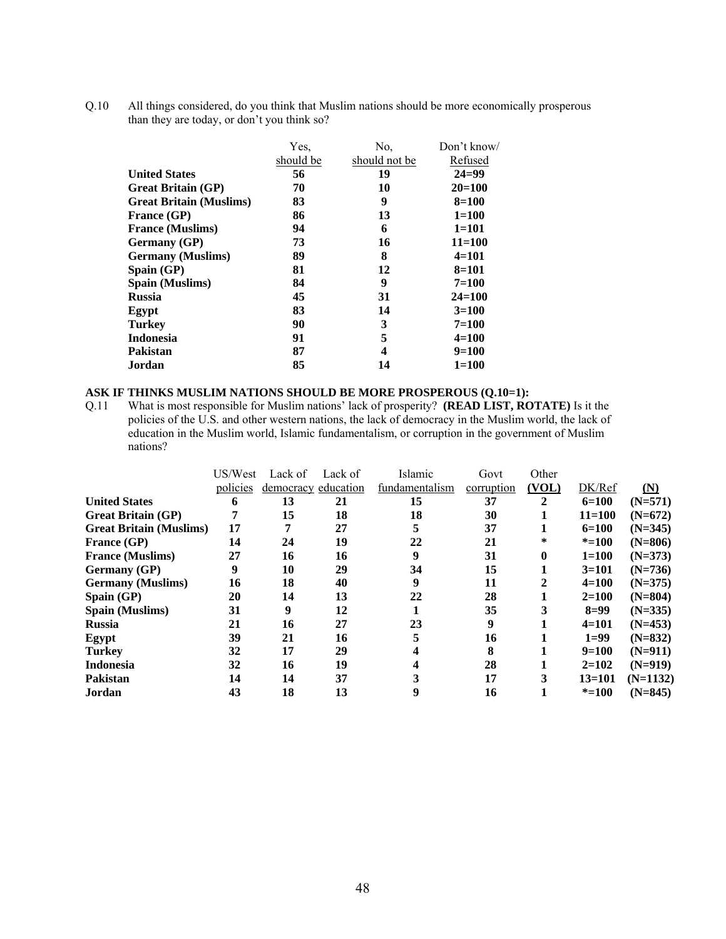Q.10 All things considered, do you think that Muslim nations should be more economically prosperous than they are today, or don't you think so?

|                                | Yes.      | No.           | Don't know/ |
|--------------------------------|-----------|---------------|-------------|
|                                | should be | should not be | Refused     |
| <b>United States</b>           | 56        | 19            | $24 = 99$   |
| <b>Great Britain (GP)</b>      | 70        | 10            | $20=100$    |
| <b>Great Britain (Muslims)</b> | 83        | 9             | $8=100$     |
| <b>France (GP)</b>             | 86        | 13            | $1 = 100$   |
| <b>France (Muslims)</b>        | 94        | 6             | $1=101$     |
| <b>Germany</b> (GP)            | 73        | 16            | $11 = 100$  |
| <b>Germany</b> (Muslims)       | 89        | 8             | $4=101$     |
| Spain $(GP)$                   | 81        | 12            | $8 = 101$   |
| <b>Spain (Muslims)</b>         | 84        | 9             | $7=100$     |
| <b>Russia</b>                  | 45        | 31            | $24 = 100$  |
| Egypt                          | 83        | 14            | $3=100$     |
| <b>Turkey</b>                  | 90        | 3             | $7 = 100$   |
| <b>Indonesia</b>               | 91        | 5             | $4 = 100$   |
| Pakistan                       | 87        | 4             | $9=100$     |
| Jordan                         | 85        | 14            | $1 = 100$   |
|                                |           |               |             |

# **ASK IF THINKS MUSLIM NATIONS SHOULD BE MORE PROSPEROUS (Q.10=1):** Q.11 What is most responsible for Muslim nations' lack of prosperity? (READ LIST, RO

What is most responsible for Muslim nations' lack of prosperity? **(READ LIST, ROTATE)** Is it the policies of the U.S. and other western nations, the lack of democracy in the Muslim world, the lack of education in the Muslim world, Islamic fundamentalism, or corruption in the government of Muslim nations?

|                                | US/West  | Lack of   | Lack of   | Islamic        | Govt       | Other        |            |                |
|--------------------------------|----------|-----------|-----------|----------------|------------|--------------|------------|----------------|
|                                | policies | democracy | education | fundamentalism | corruption | (VOL)        | DK/Ref     | $(\mathbf{N})$ |
| <b>United States</b>           | 6        | 13        | 21        | 15             | 37         | $\mathbf{2}$ | $6=100$    | $(N=571)$      |
| <b>Great Britain (GP)</b>      |          | 15        | 18        | 18             | 30         |              | $11 = 100$ | $(N=672)$      |
| <b>Great Britain (Muslims)</b> | 17       |           | 27        |                | 37         | л.           | $6=100$    | $(N=345)$      |
| France (GP)                    | 14       | 24        | 19        | 22             | 21         | *            | $* = 100$  | $(N=806)$      |
| <b>France (Muslims)</b>        | 27       | 16        | 16        | 9              | 31         | $\bf{0}$     | $1 = 100$  | $(N=373)$      |
| Germany (GP)                   | 9        | 10        | 29        | 34             | 15         |              | $3=101$    | $(N=736)$      |
| <b>Germany</b> (Muslims)       | 16       | 18        | 40        | 9              | 11         |              | $4 = 100$  | $(N=375)$      |
| Spain $(GP)$                   | 20       | 14        | 13        | 22             | 28         |              | $2 = 100$  | $(N=804)$      |
| <b>Spain (Muslims)</b>         | 31       | 9         | 12        |                | 35         | 3            | $8=99$     | $(N=335)$      |
| <b>Russia</b>                  | 21       | 16        | 27        | 23             | 9          |              | $4=101$    | $(N=453)$      |
| Egypt                          | 39       | 21        | 16        |                | 16         |              | $1=99$     | $(N=832)$      |
| <b>Turkey</b>                  | 32       | 17        | 29        |                | 8          |              | $9=100$    | $(N=911)$      |
| <b>Indonesia</b>               | 32       | 16        | 19        |                | 28         |              | $2=102$    | $(N=919)$      |
| <b>Pakistan</b>                | 14       | 14        | 37        |                | 17         | 3            | $13 = 101$ | $(N=1132)$     |
| Jordan                         | 43       | 18        | 13        |                | 16         |              | $* = 100$  | $(N=845)$      |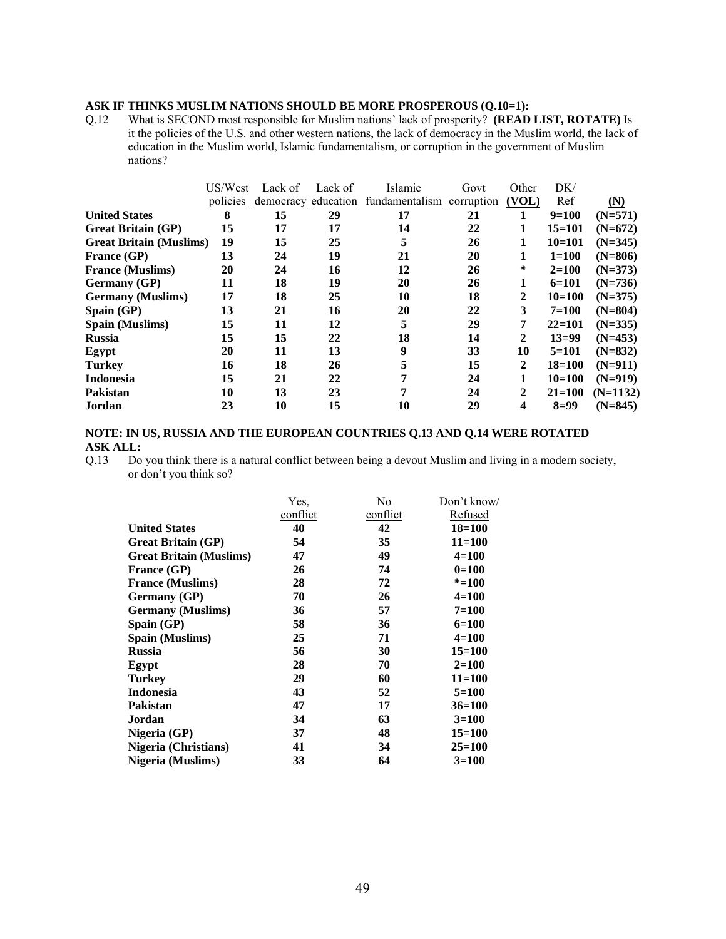## **ASK IF THINKS MUSLIM NATIONS SHOULD BE MORE PROSPEROUS (Q.10=1):**

Q.12 What is SECOND most responsible for Muslim nations' lack of prosperity? **(READ LIST, ROTATE)** Is it the policies of the U.S. and other western nations, the lack of democracy in the Muslim world, the lack of education in the Muslim world, Islamic fundamentalism, or corruption in the government of Muslim nations?

|                                | US/West  | Lack of             | Lack of | Islamic        | Govt       | Other        | DK/        |                   |
|--------------------------------|----------|---------------------|---------|----------------|------------|--------------|------------|-------------------|
|                                | policies | democracy education |         | fundamentalism | corruption | (VOL)        | Ref        | $(\underline{N})$ |
| <b>United States</b>           | 8        | 15                  | 29      | 17             | 21         |              | $9=100$    | $(N=571)$         |
| <b>Great Britain (GP)</b>      | 15       | 17                  | 17      | 14             | 22         |              | $15=101$   | $(N=672)$         |
| <b>Great Britain (Muslims)</b> | 19       | 15                  | 25      | 5              | 26         | 1            | $10=101$   | $(N=345)$         |
| <b>France (GP)</b>             | 13       | 24                  | 19      | 21             | 20         | 1            | $1 = 100$  | $(N=806)$         |
| <b>France (Muslims)</b>        | 20       | 24                  | 16      | 12             | 26         | ∗            | $2=100$    | $(N=373)$         |
| <b>Germany</b> (GP)            | 11       | 18                  | 19      | 20             | 26         | 1            | $6=101$    | $(N=736)$         |
| <b>Germany</b> (Muslims)       | 17       | 18                  | 25      | 10             | 18         | 2            | $10=100$   | $(N=375)$         |
| $\mathbf{Span}(\mathbf{GP})$   | 13       | 21                  | 16      | 20             | 22         | 3            | $7=100$    | $(N=804)$         |
| <b>Spain (Muslims)</b>         | 15       | 11                  | 12      | 5              | 29         | 7            | $22 = 101$ | $(N=335)$         |
| <b>Russia</b>                  | 15       | 15                  | 22      | 18             | 14         | 2            | $13=99$    | $(N=453)$         |
| Egypt                          | 20       | 11                  | 13      | 9              | 33         | 10           | $5=101$    | $(N=832)$         |
| <b>Turkey</b>                  | 16       | 18                  | 26      | 5              | 15         | $\mathbf{2}$ | $18 = 100$ | $(N=911)$         |
| <b>Indonesia</b>               | 15       | 21                  | 22      | 7              | 24         |              | $10=100$   | $(N=919)$         |
| <b>Pakistan</b>                | 10       | 13                  | 23      | 7              | 24         | $\mathbf{2}$ | $21 = 100$ | $(N=1132)$        |
| Jordan                         | 23       | 10                  | 15      | 10             | 29         | 4            | $8=99$     | $(N=845)$         |

#### **NOTE: IN US, RUSSIA AND THE EUROPEAN COUNTRIES Q.13 AND Q.14 WERE ROTATED ASK ALL:**

Q.13 Do you think there is a natural conflict between being a devout Muslim and living in a modern society, or don't you think so?

|                                | Yes.     | No       | Don't know/ |
|--------------------------------|----------|----------|-------------|
|                                | conflict | conflict | Refused     |
| <b>United States</b>           | 40       | 42       | $18 = 100$  |
| <b>Great Britain (GP)</b>      | 54       | 35       | $11 = 100$  |
| <b>Great Britain (Muslims)</b> | 47       | 49       | $4 = 100$   |
| <b>France (GP)</b>             | 26       | 74       | $0=100$     |
| <b>France (Muslims)</b>        | 28       | 72       | $* = 100$   |
| <b>Germany</b> (GP)            | 70       | 26       | $4 = 100$   |
| <b>Germany</b> (Muslims)       | 36       | 57       | $7=100$     |
| Spain $(GP)$                   | 58       | 36       | $6=100$     |
| <b>Spain (Muslims)</b>         | 25       | 71       | 4=100       |
| <b>Russia</b>                  | 56       | 30       | $15 = 100$  |
| Egypt                          | 28       | 70       | $2=100$     |
| Turkey                         | 29       | 60       | $11 = 100$  |
| <b>Indonesia</b>               | 43       | 52       | $5=100$     |
| <b>Pakistan</b>                | 47       | 17       | $36=100$    |
| Jordan                         | 34       | 63       | $3=100$     |
| Nigeria (GP)                   | 37       | 48       | $15 = 100$  |
| <b>Nigeria</b> (Christians)    | 41       | 34       | $25 = 100$  |
| Nigeria (Muslims)              | 33       | 64       | $3=100$     |
|                                |          |          |             |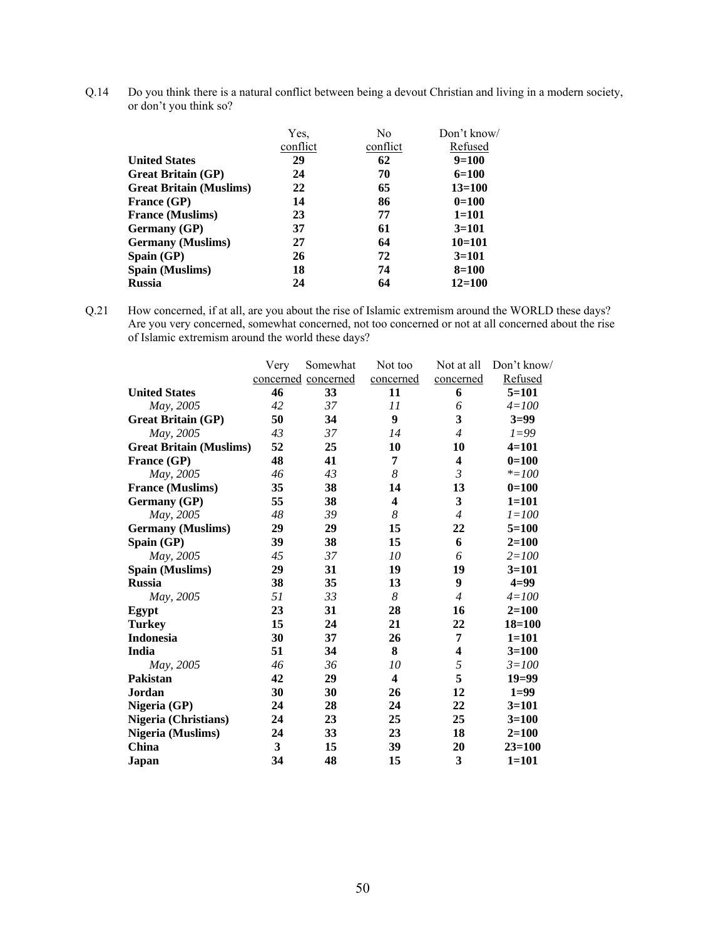Q.14 Do you think there is a natural conflict between being a devout Christian and living in a modern society, or don't you think so?

|                                | Yes.     | N <sub>0</sub> | Don't know/ |
|--------------------------------|----------|----------------|-------------|
|                                | conflict | conflict       | Refused     |
| <b>United States</b>           | 29       | 62             | $9=100$     |
| <b>Great Britain (GP)</b>      | 24       | 70             | $6=100$     |
| <b>Great Britain (Muslims)</b> | 22       | 65             | $13 = 100$  |
| <b>France (GP)</b>             | 14       | 86             | $0=100$     |
| <b>France (Muslims)</b>        | 23       | 77             | $1 = 101$   |
| <b>Germany</b> (GP)            | 37       | 61             | $3=101$     |
| <b>Germany</b> (Muslims)       | 27       | 64             | $10=101$    |
| $\mathbf{Span}(\mathbf{GP})$   | 26       | 72             | $3=101$     |
| <b>Spain (Muslims)</b>         | 18       | 74             | $8 = 100$   |
| <b>Russia</b>                  | 24       | 64             | $12 = 100$  |

Q.21 How concerned, if at all, are you about the rise of Islamic extremism around the WORLD these days? Are you very concerned, somewhat concerned, not too concerned or not at all concerned about the rise of Islamic extremism around the world these days?

|                                | Very | Somewhat            | Not too                 | Not at all              | Don't know/ |
|--------------------------------|------|---------------------|-------------------------|-------------------------|-------------|
|                                |      | concerned concerned | concerned               | concerned               | Refused     |
| <b>United States</b>           | 46   | 33                  | 11                      | 6                       | $5=101$     |
| May, 2005                      | 42   | 37                  | 11                      | 6                       | $4 = 100$   |
| <b>Great Britain (GP)</b>      | 50   | 34                  | 9                       | 3                       | $3=99$      |
| May, 2005                      | 43   | 37                  | 14                      | $\overline{4}$          | $1 = 99$    |
| <b>Great Britain (Muslims)</b> | 52   | 25                  | 10                      | 10                      | $4 = 101$   |
| France (GP)                    | 48   | 41                  | 7                       | 4                       | $0=100$     |
| May, 2005                      | 46   | 43                  | 8                       | $\mathfrak{Z}$          | $* = 100$   |
| <b>France (Muslims)</b>        | 35   | 38                  | 14                      | 13                      | $0=100$     |
| Germany (GP)                   | 55   | 38                  | $\overline{\mathbf{4}}$ | 3                       | $1 = 101$   |
| May, 2005                      | 48   | 39                  | 8                       | $\overline{4}$          | $1 = 100$   |
| <b>Germany</b> (Muslims)       | 29   | 29                  | 15                      | 22                      | $5 = 100$   |
| Spain (GP)                     | 39   | 38                  | 15                      | 6                       | $2 = 100$   |
| May, 2005                      | 45   | 37                  | 10                      | 6                       | $2 = 100$   |
| <b>Spain (Muslims)</b>         | 29   | 31                  | 19                      | 19                      | $3 = 101$   |
| <b>Russia</b>                  | 38   | 35                  | 13                      | 9                       | $4=99$      |
| May, 2005                      | 51   | 33                  | 8                       | $\overline{4}$          | $4 = 100$   |
| Egypt                          | 23   | 31                  | 28                      | 16                      | $2 = 100$   |
| <b>Turkey</b>                  | 15   | 24                  | 21                      | 22                      | $18 = 100$  |
| <b>Indonesia</b>               | 30   | 37                  | 26                      | 7                       | $1 = 101$   |
| India                          | 51   | 34                  | 8                       | $\overline{\mathbf{4}}$ | $3 = 100$   |
| May, 2005                      | 46   | 36                  | 10                      | 5                       | $3 = 100$   |
| Pakistan                       | 42   | 29                  | $\overline{\mathbf{4}}$ | 5                       | $19=99$     |
| Jordan                         | 30   | 30                  | 26                      | 12                      | $1=99$      |
| Nigeria (GP)                   | 24   | 28                  | 24                      | 22                      | $3=101$     |
| <b>Nigeria (Christians)</b>    | 24   | 23                  | 25                      | 25                      | $3 = 100$   |
| <b>Nigeria</b> (Muslims)       | 24   | 33                  | 23                      | 18                      | $2 = 100$   |
| China                          | 3    | 15                  | 39                      | 20                      | $23=100$    |
| Japan                          | 34   | 48                  | 15                      | 3                       | $1 = 101$   |
|                                |      |                     |                         |                         |             |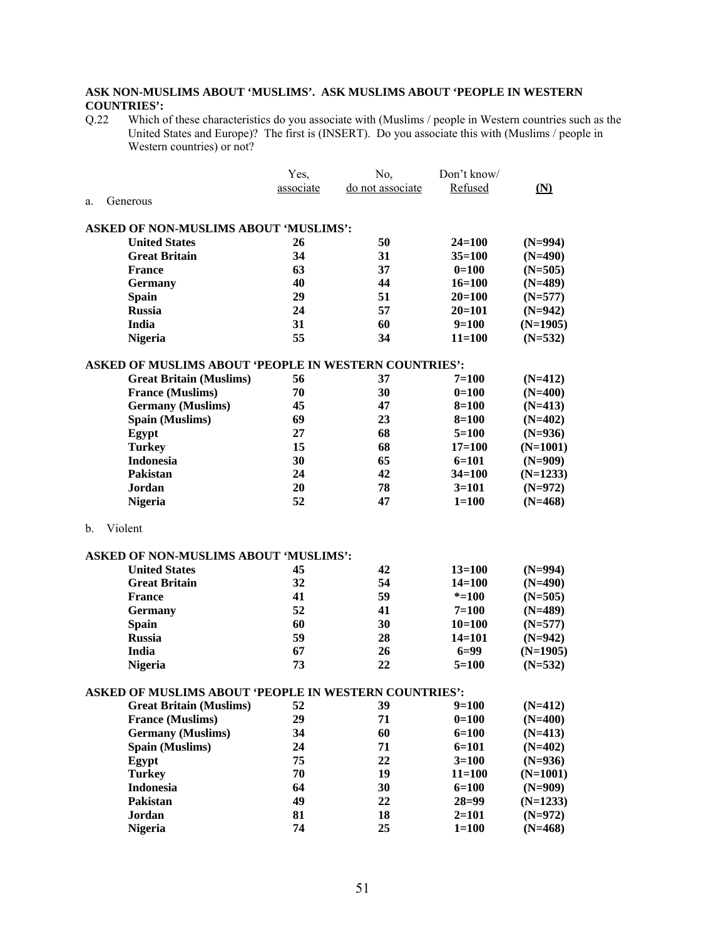## **ASK NON-MUSLIMS ABOUT 'MUSLIMS'. ASK MUSLIMS ABOUT 'PEOPLE IN WESTERN COUNTRIES':**<br>Q.22 Which o

Q.22 Which of these characteristics do you associate with (Muslims / people in Western countries such as the United States and Europe)? The first is (INSERT). Do you associate this with (Muslims / people in Western countries) or not?

|    |                                                              | Yes,      | No,              | Don't know/            |                         |
|----|--------------------------------------------------------------|-----------|------------------|------------------------|-------------------------|
|    |                                                              | associate | do not associate | Refused                | (N)                     |
| a. | Generous                                                     |           |                  |                        |                         |
|    |                                                              |           |                  |                        |                         |
|    | <b>ASKED OF NON-MUSLIMS ABOUT 'MUSLIMS':</b>                 |           |                  |                        |                         |
|    | <b>United States</b>                                         | 26        | 50               | $24 = 100$             | $(N=994)$               |
|    | <b>Great Britain</b>                                         | 34        | 31               | $35 = 100$             | $(N=490)$               |
|    | <b>France</b>                                                | 63        | 37               | $0=100$                | $(N=505)$               |
|    | <b>Germany</b>                                               | 40        | 44               | $16 = 100$             | $(N=489)$               |
|    | <b>Spain</b>                                                 | 29        | 51               | $20 = 100$             | $(N=577)$               |
|    | <b>Russia</b>                                                | 24        | 57               | $20 = 101$             | $(N=942)$               |
|    | India                                                        | 31        | 60               | $9=100$                | $(N=1905)$              |
|    | <b>Nigeria</b>                                               | 55        | 34               | $11 = 100$             | $(N=532)$               |
|    | <b>ASKED OF MUSLIMS ABOUT 'PEOPLE IN WESTERN COUNTRIES':</b> |           |                  |                        |                         |
|    | <b>Great Britain (Muslims)</b>                               | 56        | 37               | $7=100$                | $(N=412)$               |
|    | <b>France (Muslims)</b>                                      | 70        | 30               | $0=100$                | $(N=400)$               |
|    | <b>Germany</b> (Muslims)                                     | 45        | 47               | $8 = 100$              | $(N=413)$               |
|    | <b>Spain (Muslims)</b>                                       | 69        | 23               | $8 = 100$              | $(N=402)$               |
|    | Egypt                                                        | 27        | 68               | $5=100$                | $(N=936)$               |
|    |                                                              | 15        | 68               |                        |                         |
|    | <b>Turkey</b><br><b>Indonesia</b>                            | 30        | 65               | $17 = 100$             | $(N=1001)$              |
|    | Pakistan                                                     | 24        | 42               | $6=101$                | $(N=909)$               |
|    |                                                              | 20        |                  | $34 = 100$             | $(N=1233)$              |
|    | Jordan                                                       |           | 78               | $3=101$                | $(N=972)$               |
|    | <b>Nigeria</b>                                               | 52        | 47               | $1 = 100$              | $(N=468)$               |
| b. | Violent                                                      |           |                  |                        |                         |
|    | <b>ASKED OF NON-MUSLIMS ABOUT 'MUSLIMS':</b>                 |           |                  |                        |                         |
|    | <b>United States</b>                                         | 45        | 42               | $13 = 100$             | $(N=994)$               |
|    | <b>Great Britain</b>                                         | 32        | 54               | $14 = 100$             | $(N=490)$               |
|    | <b>France</b>                                                | 41        | 59               | $* = 100$              | $(N=505)$               |
|    |                                                              | 52        | 41               | $7 = 100$              | $(N=489)$               |
|    | <b>Germany</b>                                               | 60        | 30               |                        |                         |
|    | <b>Spain</b><br><b>Russia</b>                                | 59        | 28               | $10=100$<br>$14 = 101$ | $(N=577)$               |
|    | India                                                        | 67        | 26               | $6=99$                 | $(N=942)$<br>$(N=1905)$ |
|    |                                                              |           |                  |                        |                         |
|    | <b>Nigeria</b>                                               | 73        | 22               | $5=100$                | $(N=532)$               |
|    | <b>ASKED OF MUSLIMS ABOUT 'PEOPLE IN WESTERN COUNTRIES':</b> |           |                  |                        |                         |
|    | <b>Great Britain (Muslims)</b>                               | 52        | 39               | $9=100$                | $(N=412)$               |
|    | <b>France (Muslims)</b>                                      | 29        | 71               | $0=100$                | $(N=400)$               |
|    | <b>Germany</b> (Muslims)                                     | 34        | 60               | $6 = 100$              | $(N=413)$               |
|    | Spain (Muslims)                                              | 24        | 71               | $6=101$                | $(N=402)$               |
|    | Egypt                                                        | 75        | 22               | $3 = 100$              | $(N=936)$               |
|    | <b>Turkey</b>                                                | 70        | 19               | $11 = 100$             | $(N=1001)$              |
|    | Indonesia                                                    | 64        | 30               | $6=100$                | $(N=909)$               |
|    | Pakistan                                                     | 49        | 22               | $28 = 99$              | $(N=1233)$              |
|    | <b>Jordan</b>                                                | 81        | 18               | $2=101$                | $(N=972)$               |
|    | <b>Nigeria</b>                                               | 74        | 25               | $1 = 100$              | $(N=468)$               |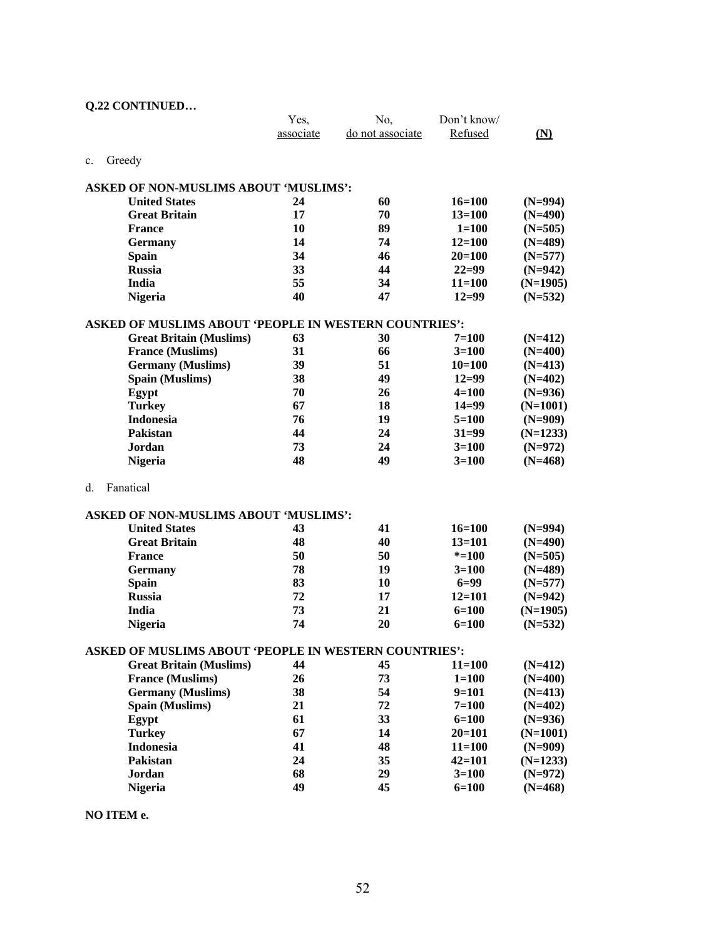|  | <b>Q.22 CONTINUED</b> |
|--|-----------------------|
|--|-----------------------|

|    |                                                              | Yes,      | No,              | Don't know/ |                   |
|----|--------------------------------------------------------------|-----------|------------------|-------------|-------------------|
|    |                                                              | associate | do not associate | Refused     | $(\underline{N})$ |
|    |                                                              |           |                  |             |                   |
| c. | Greedy                                                       |           |                  |             |                   |
|    | <b>ASKED OF NON-MUSLIMS ABOUT 'MUSLIMS':</b>                 |           |                  |             |                   |
|    | <b>United States</b>                                         | 24        | 60               | $16=100$    | $(N=994)$         |
|    | <b>Great Britain</b>                                         | 17        | 70               | $13 = 100$  | $(N=490)$         |
|    | <b>France</b>                                                | 10        | 89               | $1 = 100$   | $(N=505)$         |
|    | Germany                                                      | 14        | 74               | $12 = 100$  | $(N=489)$         |
|    | <b>Spain</b>                                                 | 34        | 46               | $20=100$    | $(N=577)$         |
|    | <b>Russia</b>                                                | 33        | 44               | $22=99$     | $(N=942)$         |
|    | India                                                        | 55        | 34               | $11 = 100$  | $(N=1905)$        |
|    | <b>Nigeria</b>                                               | 40        | 47               | $12=99$     | $(N=532)$         |
|    |                                                              |           |                  |             |                   |
|    | <b>ASKED OF MUSLIMS ABOUT 'PEOPLE IN WESTERN COUNTRIES':</b> |           |                  |             |                   |
|    | <b>Great Britain (Muslims)</b>                               | 63        | 30               | $7 = 100$   | $(N=412)$         |
|    | <b>France (Muslims)</b>                                      | 31        | 66               | $3=100$     | $(N=400)$         |
|    | <b>Germany</b> (Muslims)                                     | 39        | 51               | $10=100$    | $(N=413)$         |
|    | Spain (Muslims)                                              | 38        | 49               | $12 = 99$   | $(N=402)$         |
|    | Egypt                                                        | 70        | 26               | $4 = 100$   | $(N=936)$         |
|    | <b>Turkey</b>                                                | 67        | 18               | $14 = 99$   | $(N=1001)$        |
|    | <b>Indonesia</b>                                             | 76        | 19               | $5 = 100$   | $(N=909)$         |
|    | Pakistan                                                     | 44        | 24               | $31 = 99$   | $(N=1233)$        |
|    | Jordan                                                       | 73        | 24               | $3=100$     | $(N=972)$         |
|    | <b>Nigeria</b>                                               | 48        | 49               | $3 = 100$   | $(N=468)$         |
| d. | Fanatical                                                    |           |                  |             |                   |
|    |                                                              |           |                  |             |                   |
|    | <b>ASKED OF NON-MUSLIMS ABOUT 'MUSLIMS':</b>                 |           |                  |             |                   |
|    | <b>United States</b>                                         | 43        | 41               | $16=100$    | $(N=994)$         |
|    | <b>Great Britain</b>                                         | 48        | 40               | $13 = 101$  | $(N=490)$         |
|    | <b>France</b>                                                | 50        | 50               | $* = 100$   | $(N=505)$         |
|    | <b>Germany</b>                                               | 78        | 19               | $3=100$     | $(N=489)$         |
|    | <b>Spain</b>                                                 | 83        | 10               | $6=99$      | $(N=577)$         |
|    | <b>Russia</b>                                                | 72        | 17               | $12 = 101$  | $(N=942)$         |
|    | India                                                        | 73        | 21               | $6=100$     | $(N=1905)$        |
|    | <b>Nigeria</b>                                               | 74        | 20               | $6=100$     | $(N=532)$         |
|    | ASKED OF MUSLIMS ABOUT 'PEOPLE IN WESTERN COUNTRIES':        |           |                  |             |                   |
|    | <b>Great Britain (Muslims)</b>                               | 44        | 45               | $11 = 100$  | $(N=412)$         |
|    | <b>France (Muslims)</b>                                      | 26        | 73               | $1 = 100$   | $(N=400)$         |
|    | <b>Germany</b> (Muslims)                                     | 38        | 54               | $9=101$     | $(N=413)$         |
|    | Spain (Muslims)                                              | 21        | 72               | $7 = 100$   | $(N=402)$         |
|    | Egypt                                                        | 61        | 33               | $6 = 100$   | $(N=936)$         |
|    | <b>Turkey</b>                                                | 67        | 14               | $20 = 101$  | $(N=1001)$        |
|    | <b>Indonesia</b>                                             | 41        | 48               | $11 = 100$  | $(N=909)$         |
|    | Pakistan                                                     | 24        | 35               | $42 = 101$  | $(N=1233)$        |
|    | Jordan                                                       | 68        | 29               | $3=100$     | $(N=972)$         |
|    | <b>Nigeria</b>                                               | 49        | 45               | $6 = 100$   | $(N=468)$         |
|    |                                                              |           |                  |             |                   |

**NO ITEM e.**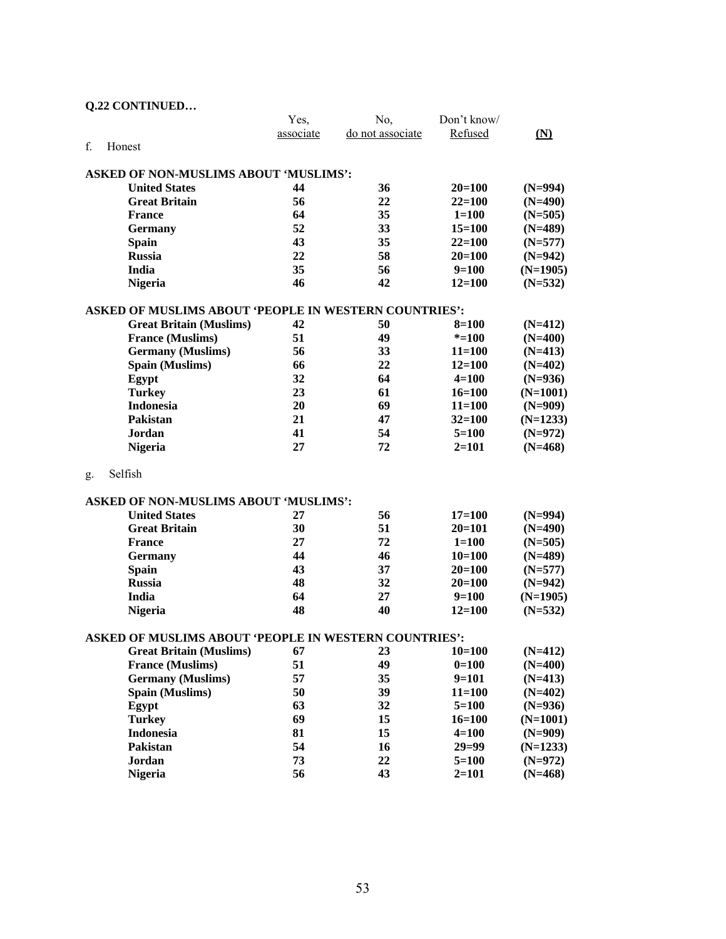|               | Q.22 CONTINUED                                        |           |                  |             |            |  |  |
|---------------|-------------------------------------------------------|-----------|------------------|-------------|------------|--|--|
|               |                                                       | Yes,      | No,              | Don't know/ |            |  |  |
|               |                                                       | associate | do not associate | Refused     | (N)        |  |  |
| f.<br>Honest  |                                                       |           |                  |             |            |  |  |
|               |                                                       |           |                  |             |            |  |  |
|               | <b>ASKED OF NON-MUSLIMS ABOUT 'MUSLIMS':</b>          |           |                  |             |            |  |  |
|               | <b>United States</b>                                  | 44        | 36               | $20=100$    | $(N=994)$  |  |  |
|               | <b>Great Britain</b>                                  | 56        | 22               | $22 = 100$  | $(N=490)$  |  |  |
|               | <b>France</b>                                         | 64        | 35               | $1 = 100$   | $(N=505)$  |  |  |
|               | <b>Germany</b>                                        | 52        | 33               | $15 = 100$  | $(N=489)$  |  |  |
|               | <b>Spain</b>                                          | 43        | 35               | $22 = 100$  | $(N=577)$  |  |  |
|               | <b>Russia</b>                                         | 22        | 58               | $20=100$    | $(N=942)$  |  |  |
|               | India                                                 | 35        | 56               | $9=100$     | $(N=1905)$ |  |  |
|               | Nigeria                                               | 46        | 42               | $12 = 100$  | $(N=532)$  |  |  |
|               | ASKED OF MUSLIMS ABOUT 'PEOPLE IN WESTERN COUNTRIES': |           |                  |             |            |  |  |
|               | <b>Great Britain (Muslims)</b>                        | 42        | 50               | $8=100$     | $(N=412)$  |  |  |
|               | <b>France (Muslims)</b>                               | 51        | 49               | $* = 100$   | $(N=400)$  |  |  |
|               | <b>Germany</b> (Muslims)                              | 56        | 33               | $11 = 100$  | $(N=413)$  |  |  |
|               | Spain (Muslims)                                       | 66        | 22               | $12 = 100$  | $(N=402)$  |  |  |
|               | Egypt                                                 | 32        | 64               | $4 = 100$   | $(N=936)$  |  |  |
|               | <b>Turkey</b>                                         | 23        | 61               | $16 = 100$  | $(N=1001)$ |  |  |
|               | <b>Indonesia</b>                                      | 20        | 69               | $11 = 100$  | $(N=909)$  |  |  |
|               | Pakistan                                              | 21        | 47               | $32 = 100$  | $(N=1233)$ |  |  |
|               | Jordan                                                | 41        | 54               | $5=100$     | $(N=972)$  |  |  |
|               | <b>Nigeria</b>                                        | 27        | 72               | $2=101$     | $(N=468)$  |  |  |
|               |                                                       |           |                  |             |            |  |  |
| Selfish<br>g. |                                                       |           |                  |             |            |  |  |
|               | <b>ASKED OF NON-MUSLIMS ABOUT 'MUSLIMS':</b>          |           |                  |             |            |  |  |
|               | <b>United States</b>                                  |           |                  |             |            |  |  |
|               |                                                       | 27<br>30  | 56<br>51         | $17=100$    | $(N=994)$  |  |  |
|               | <b>Great Britain</b>                                  |           |                  | $20=101$    | $(N=490)$  |  |  |
|               | <b>France</b>                                         | 27<br>44  | 72               | $1 = 100$   | $(N=505)$  |  |  |
|               | <b>Germany</b>                                        |           | 46               | $10=100$    | $(N=489)$  |  |  |
|               | <b>Spain</b>                                          | 43        | 37               | $20=100$    | $(N=577)$  |  |  |
|               | <b>Russia</b>                                         | 48        | 32               | $20=100$    | $(N=942)$  |  |  |
|               | India                                                 | 64        | 27               | $9=100$     | $(N=1905)$ |  |  |
|               | <b>Nigeria</b>                                        | 48        | 40               | $12 = 100$  | $(N=532)$  |  |  |
|               | ASKED OF MUSLIMS ABOUT 'PEOPLE IN WESTERN COUNTRIES': |           |                  |             |            |  |  |
|               | <b>Great Britain (Muslims)</b>                        | 67        | 23               | $10 = 100$  | $(N=412)$  |  |  |
|               | <b>France (Muslims)</b>                               | 51        | 49               | $0=100$     | $(N=400)$  |  |  |
|               | <b>Germany</b> (Muslims)                              | 57        | 35               | $9=101$     | $(N=413)$  |  |  |
|               | Spain (Muslims)                                       | 50        | 39               | $11 = 100$  | $(N=402)$  |  |  |
|               | Egypt                                                 | 63        | 32               | $5=100$     | $(N=936)$  |  |  |
|               | <b>Turkey</b>                                         | 69        | 15               | $16 = 100$  | $(N=1001)$ |  |  |
|               | Indonesia                                             | 81        | 15               | $4 = 100$   | $(N=909)$  |  |  |
|               | Pakistan                                              | 54        | 16               | $29 = 99$   | $(N=1233)$ |  |  |
|               | Jordan                                                | 73        | 22               | $5 = 100$   | $(N=972)$  |  |  |
|               | <b>Nigeria</b>                                        | 56        | 43               | $2 = 101$   | $(N=468)$  |  |  |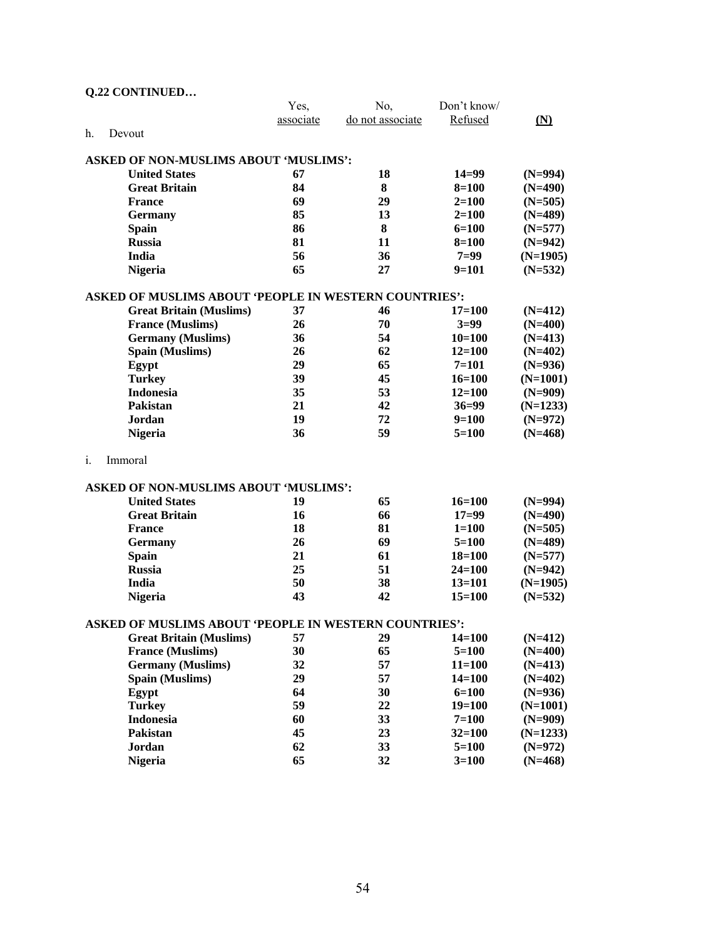| Q.22 CONTINUED                               |                                |           |                                                              |                      |                        |
|----------------------------------------------|--------------------------------|-----------|--------------------------------------------------------------|----------------------|------------------------|
|                                              |                                | Yes,      | No,                                                          | Don't know/          |                        |
|                                              |                                | associate | do not associate                                             | Refused              | <u>(N)</u>             |
| h.<br>Devout                                 |                                |           |                                                              |                      |                        |
|                                              |                                |           |                                                              |                      |                        |
| <b>ASKED OF NON-MUSLIMS ABOUT 'MUSLIMS':</b> |                                |           |                                                              |                      |                        |
| <b>United States</b>                         |                                | 67        | 18                                                           | $14=99$              | $(N=994)$              |
| <b>Great Britain</b>                         |                                | 84        | 8                                                            | $8 = 100$            | $(N=490)$              |
| <b>France</b>                                |                                | 69        | 29                                                           | $2=100$              | $(N=505)$              |
| <b>Germany</b>                               |                                | 85        | 13                                                           | $2 = 100$            | $(N=489)$              |
| <b>Spain</b>                                 |                                | 86        | 8                                                            | $6=100$              | $(N=577)$              |
| <b>Russia</b>                                |                                | 81        | 11                                                           | $8=100$              | $(N=942)$              |
| <b>India</b>                                 |                                | 56        | 36                                                           | $7=99$               | $(N=1905)$             |
| <b>Nigeria</b>                               |                                | 65        | 27                                                           | $9=101$              | $(N=532)$              |
|                                              |                                |           | <b>ASKED OF MUSLIMS ABOUT 'PEOPLE IN WESTERN COUNTRIES':</b> |                      |                        |
|                                              | <b>Great Britain (Muslims)</b> | 37        | 46                                                           | $17 = 100$           | $(N=412)$              |
| <b>France (Muslims)</b>                      |                                | 26        | 70                                                           | $3=99$               | $(N=400)$              |
|                                              | <b>Germany</b> (Muslims)       | 36        | 54                                                           | $10=100$             | $(N=413)$              |
| Spain (Muslims)                              |                                | 26        | 62                                                           | $12 = 100$           | $(N=402)$              |
|                                              |                                | 29        | 65                                                           | $7 = 101$            | $(N=936)$              |
| Egypt<br><b>Turkey</b>                       |                                | 39        | 45                                                           | $16 = 100$           | $(N=1001)$             |
| <b>Indonesia</b>                             |                                | 35        | 53                                                           | $12 = 100$           |                        |
| Pakistan                                     |                                | 21        | 42                                                           | $36 = 99$            | $(N=909)$              |
|                                              |                                | 19        | 72                                                           |                      | $(N=1233)$             |
| Jordan                                       |                                | 36        | 59                                                           | $9=100$<br>$5 = 100$ | $(N=972)$<br>$(N=468)$ |
| <b>Nigeria</b>                               |                                |           |                                                              |                      |                        |
| i.<br>Immoral                                |                                |           |                                                              |                      |                        |
| <b>ASKED OF NON-MUSLIMS ABOUT 'MUSLIMS':</b> |                                |           |                                                              |                      |                        |
| <b>United States</b>                         |                                | 19        | 65                                                           | $16=100$             |                        |
| <b>Great Britain</b>                         |                                | 16        | 66                                                           | $17=99$              | $(N=994)$<br>$(N=490)$ |
|                                              |                                | 18        | 81                                                           | $1 = 100$            |                        |
| <b>France</b>                                |                                |           |                                                              |                      | $(N=505)$              |
| <b>Germany</b>                               |                                | 26<br>21  | 69<br>61                                                     | $5=100$              | $(N=489)$              |
| <b>Spain</b>                                 |                                | 25        |                                                              | $18 = 100$           | $(N=577)$              |
| <b>Russia</b>                                |                                | 50        | 51                                                           | $24 = 100$           | $(N=942)$              |
| India                                        |                                |           | 38<br>42                                                     | $13 = 101$           | $(N=1905)$             |
| <b>Nigeria</b>                               |                                | 43        |                                                              | $15 = 100$           | $(N=532)$              |
|                                              |                                |           | ASKED OF MUSLIMS ABOUT 'PEOPLE IN WESTERN COUNTRIES':        |                      |                        |
|                                              | <b>Great Britain (Muslims)</b> | 57        | 29                                                           | $14 = 100$           | $(N=412)$              |
| <b>France (Muslims)</b>                      |                                | 30        | 65                                                           | $5 = 100$            | $(N=400)$              |
|                                              | <b>Germany</b> (Muslims)       | 32        | 57                                                           | $11 = 100$           | $(N=413)$              |
| Spain (Muslims)                              |                                | 29        | 57                                                           | $14 = 100$           | $(N=402)$              |
| Egypt                                        |                                | 64        | 30                                                           | $6 = 100$            | $(N=936)$              |
| <b>Turkey</b>                                |                                | 59        | 22                                                           | $19=100$             | $(N=1001)$             |
| <b>Indonesia</b>                             |                                | 60        | 33                                                           | $7=100$              | $(N=909)$              |
| <b>Pakistan</b>                              |                                | 45        | 23                                                           | $32 = 100$           | $(N=1233)$             |
| <b>Jordan</b>                                |                                | 62        | 33                                                           | $5=100$              | $(N=972)$              |
| <b>Nigeria</b>                               |                                | 65        | 32                                                           | $3=100$              | $(N=468)$              |

## 54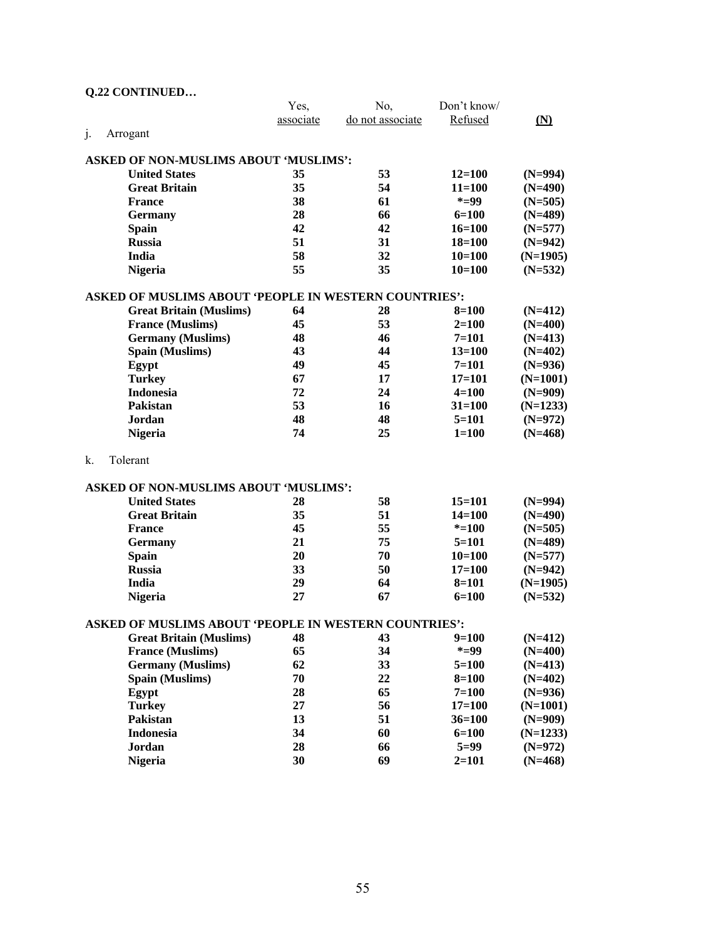|    | Q.22 CONTINUED                                               |           |                  |             |                |  |
|----|--------------------------------------------------------------|-----------|------------------|-------------|----------------|--|
|    |                                                              | Yes,      | No,              | Don't know/ |                |  |
|    |                                                              | associate | do not associate | Refused     | $(\mathbf{N})$ |  |
| j. | Arrogant                                                     |           |                  |             |                |  |
|    |                                                              |           |                  |             |                |  |
|    | <b>ASKED OF NON-MUSLIMS ABOUT 'MUSLIMS':</b>                 |           |                  |             |                |  |
|    | <b>United States</b>                                         | 35        | 53               | $12=100$    | $(N=994)$      |  |
|    | <b>Great Britain</b>                                         | 35        | 54               | $11 = 100$  | $(N=490)$      |  |
|    | <b>France</b>                                                | 38        | 61               | $* = 99$    | $(N=505)$      |  |
|    | <b>Germany</b>                                               | 28        | 66               | $6=100$     | $(N=489)$      |  |
|    | <b>Spain</b>                                                 | 42        | 42               | $16=100$    | $(N=577)$      |  |
|    | <b>Russia</b>                                                | 51        | 31               | $18 = 100$  | $(N=942)$      |  |
|    | <b>India</b>                                                 | 58        | 32               | $10=100$    | $(N=1905)$     |  |
|    | <b>Nigeria</b>                                               | 55        | 35               | $10=100$    | $(N=532)$      |  |
|    | <b>ASKED OF MUSLIMS ABOUT 'PEOPLE IN WESTERN COUNTRIES':</b> |           |                  |             |                |  |
|    | <b>Great Britain (Muslims)</b>                               | 64        | 28               | $8=100$     | $(N=412)$      |  |
|    | <b>France (Muslims)</b>                                      | 45        | 53               | $2=100$     | $(N=400)$      |  |
|    | <b>Germany</b> (Muslims)                                     | 48        | 46               | $7 = 101$   | $(N=413)$      |  |
|    | Spain (Muslims)                                              | 43        | 44               | $13 = 100$  | $(N=402)$      |  |
|    | Egypt                                                        | 49        | 45               | $7 = 101$   | $(N=936)$      |  |
|    | <b>Turkey</b>                                                | 67        | 17               | $17 = 101$  | $(N=1001)$     |  |
|    | <b>Indonesia</b>                                             | 72        | 24               | $4 = 100$   | $(N=909)$      |  |
|    | Pakistan                                                     | 53        | 16               | $31 = 100$  | $(N=1233)$     |  |
|    | Jordan.                                                      | 48        | 48               | $5=101$     | $(N=972)$      |  |
|    | <b>Nigeria</b>                                               | 74        | 25               | $1 = 100$   | $(N=468)$      |  |
|    |                                                              |           |                  |             |                |  |
| k. | Tolerant                                                     |           |                  |             |                |  |
|    |                                                              |           |                  |             |                |  |
|    | <b>ASKED OF NON-MUSLIMS ABOUT 'MUSLIMS':</b>                 |           |                  |             |                |  |
|    | <b>United States</b>                                         | 28        | 58               | $15=101$    | $(N=994)$      |  |
|    | <b>Great Britain</b>                                         | 35        | 51               | $14 = 100$  | $(N=490)$      |  |
|    | <b>France</b>                                                | 45        | 55               | $* = 100$   | $(N=505)$      |  |
|    | <b>Germany</b>                                               | 21        | 75               | $5 = 101$   | $(N=489)$      |  |
|    | <b>Spain</b>                                                 | 20        | 70               | $10=100$    | $(N=577)$      |  |
|    | <b>Russia</b>                                                | 33        | 50               | $17 = 100$  | $(N=942)$      |  |
|    | <b>India</b>                                                 | 29        | 64               | $8 = 101$   | $(N=1905)$     |  |
|    | <b>Nigeria</b>                                               | 27        | 67               | $6 = 100$   | $(N=532)$      |  |
|    | ASKED OF MUSLIMS ABOUT 'PEOPLE IN WESTERN COUNTRIES':        |           |                  |             |                |  |
|    | <b>Great Britain (Muslims)</b>                               | 48        | 43               | $9=100$     | $(N=412)$      |  |
|    | <b>France (Muslims)</b>                                      | 65        | 34               | $* = 99$    | $(N=400)$      |  |
|    | <b>Germany</b> (Muslims)                                     | 62        | 33               | $5=100$     | $(N=413)$      |  |
|    | Spain (Muslims)                                              | 70        | 22               | $8 = 100$   | $(N=402)$      |  |
|    | Egypt                                                        | 28        | 65               | $7 = 100$   | $(N=936)$      |  |
|    | <b>Turkey</b>                                                | 27        | 56               | $17=100$    | $(N=1001)$     |  |
|    | Pakistan                                                     | 13        | 51               | $36 = 100$  | $(N=909)$      |  |
|    | <b>Indonesia</b>                                             | 34        | 60               | $6=100$     | $(N=1233)$     |  |
|    | Jordan                                                       | 28        | 66               | $5=99$      | $(N=972)$      |  |
|    | <b>Nigeria</b>                                               | 30        | 69               | $2 = 101$   | $(N=468)$      |  |
|    |                                                              |           |                  |             |                |  |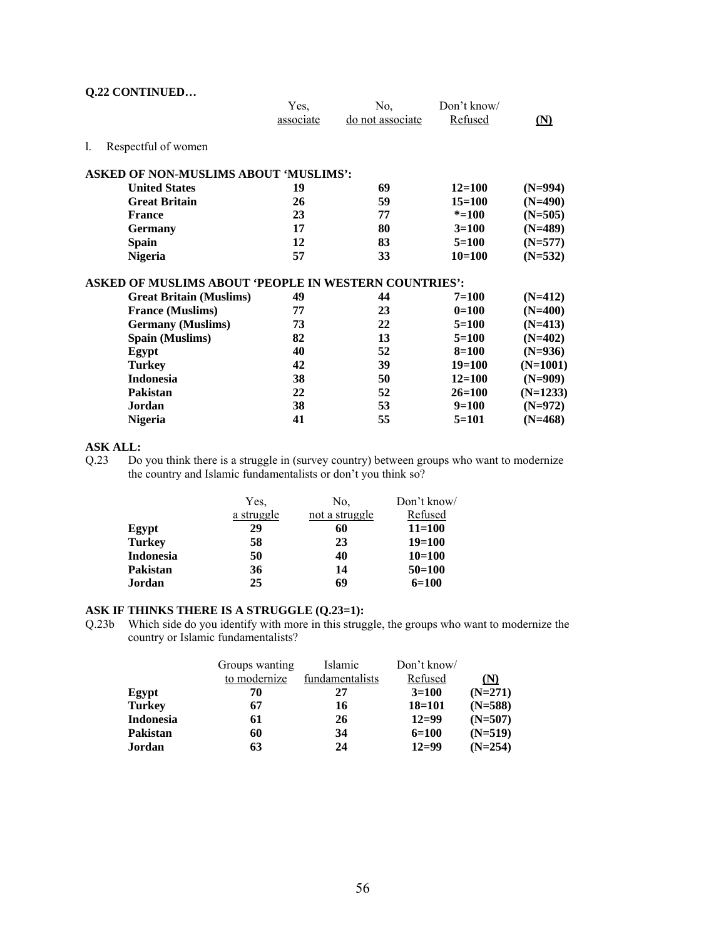## **Q.22 CONTINUED…**

|                                                              | Yes,      | No,              | Don't know/ |                   |
|--------------------------------------------------------------|-----------|------------------|-------------|-------------------|
|                                                              | associate | do not associate | Refused     | $(\underline{N})$ |
| 1.<br>Respectful of women                                    |           |                  |             |                   |
| <b>ASKED OF NON-MUSLIMS ABOUT 'MUSLIMS':</b>                 |           |                  |             |                   |
| <b>United States</b>                                         | 19        | 69               | $12 = 100$  | $(N=994)$         |
| <b>Great Britain</b>                                         | 26        | 59               | $15 = 100$  | $(N=490)$         |
| <b>France</b>                                                | 23        | 77               | $* = 100$   | $(N=505)$         |
| <b>Germany</b>                                               | 17        | 80               | $3=100$     | $(N=489)$         |
| <b>Spain</b>                                                 | 12        | 83               | $5=100$     | $(N=577)$         |
| <b>Nigeria</b>                                               | 57        | 33               | $10=100$    | $(N=532)$         |
| <b>ASKED OF MUSLIMS ABOUT 'PEOPLE IN WESTERN COUNTRIES':</b> |           |                  |             |                   |
| <b>Great Britain (Muslims)</b>                               | 49        | 44               | $7 = 100$   | $(N=412)$         |
| <b>France (Muslims)</b>                                      | 77        | 23               | $0=100$     | $(N=400)$         |
| <b>Germany</b> (Muslims)                                     | 73        | 22               | $5=100$     | $(N=413)$         |
| <b>Spain (Muslims)</b>                                       | 82        | 13               | $5=100$     | $(N=402)$         |
| Egypt                                                        | 40        | 52               | $8=100$     | $(N=936)$         |
| <b>Turkey</b>                                                | 42        | 39               | $19=100$    | $(N=1001)$        |
| <b>Indonesia</b>                                             | 38        | 50               | $12 = 100$  | $(N=909)$         |
| <b>Pakistan</b>                                              | 22        | 52               | $26 = 100$  | $(N=1233)$        |
| Jordan                                                       | 38        | 53               | $9=100$     | $(N=972)$         |
| <b>Nigeria</b>                                               | 41        | 55               | $5=101$     | $(N=468)$         |

#### **ASK ALL:**

Q.23 Do you think there is a struggle in (survey country) between groups who want to modernize the country and Islamic fundamentalists or don't you think so?

|                  | Yes.       | No.            | Don't know/ |
|------------------|------------|----------------|-------------|
|                  | a struggle | not a struggle | Refused     |
| Egypt            | 29         | 60             | $11 = 100$  |
| <b>Turkey</b>    | 58         | 23             | $19=100$    |
| <b>Indonesia</b> | 50         | 40             | $10=100$    |
| <b>Pakistan</b>  | 36         | 14             | $50=100$    |
| Jordan           | 25         | 69             | $6=100$     |

## **ASK IF THINKS THERE IS A STRUGGLE (Q.23=1):**

Q.23b Which side do you identify with more in this struggle, the groups who want to modernize the country or Islamic fundamentalists?

|                  | Groups wanting | Islamic         | Don't know/ |           |
|------------------|----------------|-----------------|-------------|-----------|
|                  | to modernize   | fundamentalists | Refused     | (N)       |
| Egypt            | 70             | 27              | $3=100$     | $(N=271)$ |
| <b>Turkey</b>    | 67             | 16              | $18 = 101$  | $(N=588)$ |
| <b>Indonesia</b> | 61             | 26              | $12=99$     | $(N=507)$ |
| Pakistan         | 60             | 34              | $6=100$     | $(N=519)$ |
| Jordan           | 63             | 24              | $12=99$     | $(N=254)$ |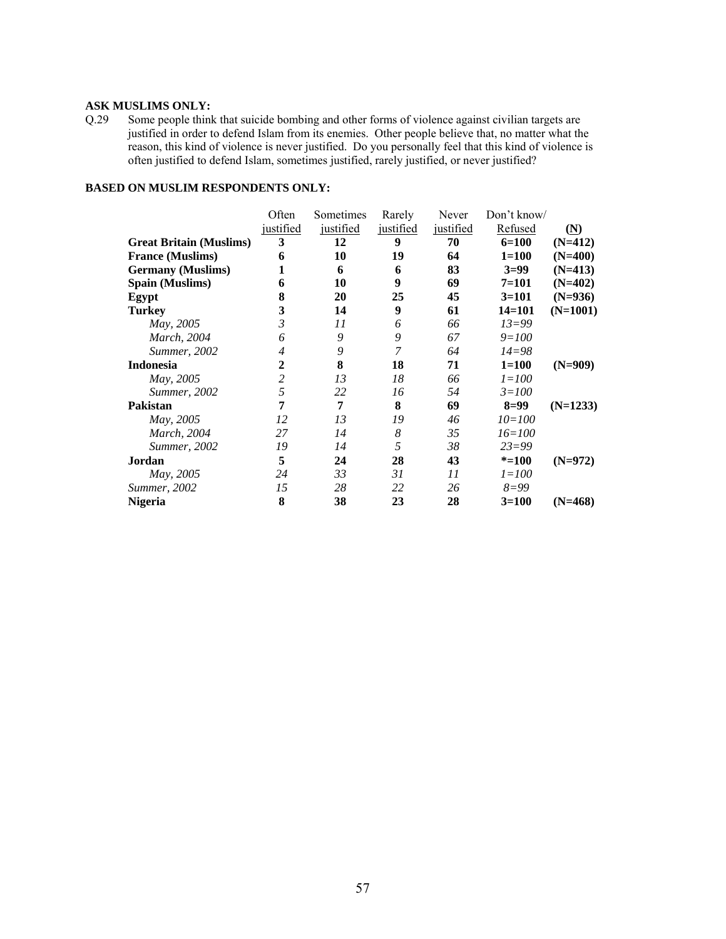#### **ASK MUSLIMS ONLY:**

Q.29 Some people think that suicide bombing and other forms of violence against civilian targets are justified in order to defend Islam from its enemies. Other people believe that, no matter what the reason, this kind of violence is never justified. Do you personally feel that this kind of violence is often justified to defend Islam, sometimes justified, rarely justified, or never justified?

## **BASED ON MUSLIM RESPONDENTS ONLY:**

|                                | Often     | Sometimes | Rarely         | Never     | Don't know/ |                   |
|--------------------------------|-----------|-----------|----------------|-----------|-------------|-------------------|
|                                | justified | justified | justified      | justified | Refused     | $(\underline{N})$ |
| <b>Great Britain (Muslims)</b> | 3         | 12        | 9              | 70        | $6 = 100$   | $(N=412)$         |
| <b>France (Muslims)</b>        | 6         | 10        | 19             | 64        | $1 = 100$   | $(N=400)$         |
| <b>Germany</b> (Muslims)       | 1         | 6         | 6              | 83        | $3=99$      | $(N=413)$         |
| <b>Spain (Muslims)</b>         | 6         | 10        | 9              | 69        | $7 = 101$   | $(N=402)$         |
| Egypt                          | 8         | 20        | 25             | 45        | $3=101$     | $(N=936)$         |
| <b>Turkey</b>                  | 3         | 14        | 9              | 61        | $14 = 101$  | $(N=1001)$        |
| May, 2005                      | 3         | 11        | 6              | 66        | $13 = 99$   |                   |
| March, 2004                    | 6         | 9         | 9              | 67        | $9 = 100$   |                   |
| Summer, 2002                   | 4         | 9         | $\overline{7}$ | 64        | $14 = 98$   |                   |
| <b>Indonesia</b>               | 2         | 8         | 18             | 71        | $1 = 100$   | $(N=909)$         |
| May, 2005                      | 2         | 13        | 18             | 66        | $1 = 100$   |                   |
| Summer, 2002                   | 5         | 22        | 16             | 54        | $3 = 100$   |                   |
| Pakistan                       | 7         | 7         | 8              | 69        | $8=99$      | $(N=1233)$        |
| May, 2005                      | 12        | 13        | 19             | 46        | $10 = 100$  |                   |
| March, 2004                    | 27        | 14        | 8              | 35        | $16 = 100$  |                   |
| <i>Summer</i> , 2002           | 19        | 14        | 5              | 38        | $23 = 99$   |                   |
| Jordan                         | 5         | 24        | 28             | 43        | $* = 100$   | $(N=972)$         |
| May, 2005                      | 24        | 33        | 31             | 11        | $1 = 100$   |                   |
| <b>Summer, 2002</b>            | 15        | 28        | 22             | 26        | $8 = 99$    |                   |
| <b>Nigeria</b>                 | 8         | 38        | 23             | 28        | $3 = 100$   | $(N=468)$         |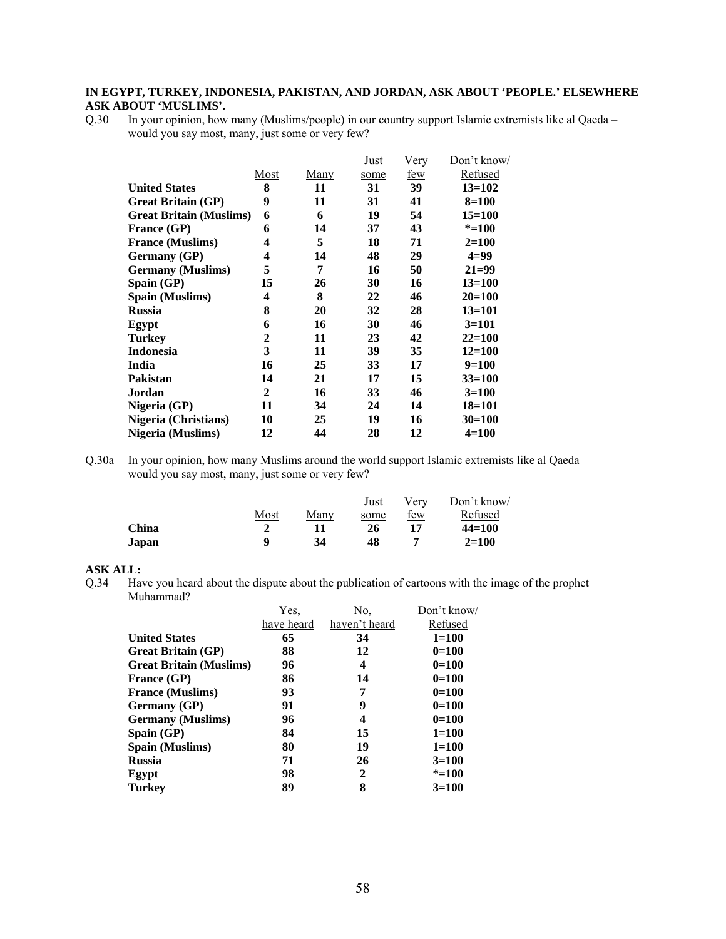## **IN EGYPT, TURKEY, INDONESIA, PAKISTAN, AND JORDAN, ASK ABOUT 'PEOPLE.' ELSEWHERE ASK ABOUT 'MUSLIMS'.**

Q.30 In your opinion, how many (Muslims/people) in our country support Islamic extremists like al Qaeda – would you say most, many, just some or very few?

|                                |                         |             | Just | Very       | Don't know/ |
|--------------------------------|-------------------------|-------------|------|------------|-------------|
|                                | Most                    | <u>Many</u> | some | <u>few</u> | Refused     |
| <b>United States</b>           | 8                       | 11          | 31   | 39         | $13 = 102$  |
| <b>Great Britain (GP)</b>      | 9                       | 11          | 31   | 41         | $8=100$     |
| <b>Great Britain (Muslims)</b> | 6                       | 6           | 19   | 54         | $15 = 100$  |
| France (GP)                    | 6                       | 14          | 37   | 43         | $* = 100$   |
| <b>France (Muslims)</b>        | 4                       | 5           | 18   | 71         | $2 = 100$   |
| <b>Germany</b> (GP)            | 4                       | 14          | 48   | 29         | $4=99$      |
| <b>Germany</b> (Muslims)       | 5                       | 7           | 16   | 50         | $21 = 99$   |
| Spain (GP)                     | 15                      | 26          | 30   | 16         | $13 = 100$  |
| Spain (Muslims)                | $\overline{\mathbf{4}}$ | 8           | 22   | 46         | $20 = 100$  |
| <b>Russia</b>                  | 8                       | 20          | 32   | 28         | $13 = 101$  |
| Egypt                          | 6                       | 16          | 30   | 46         | $3=101$     |
| <b>Turkey</b>                  | $\mathbf{2}$            | 11          | 23   | 42         | $22 = 100$  |
| <b>Indonesia</b>               | 3                       | 11          | 39   | 35         | $12 = 100$  |
| India                          | 16                      | 25          | 33   | 17         | $9=100$     |
| <b>Pakistan</b>                | 14                      | 21          | 17   | 15         | $33 = 100$  |
| Jordan                         | $\mathbf{2}$            | 16          | 33   | 46         | $3=100$     |
| Nigeria (GP)                   | 11                      | 34          | 24   | 14         | $18 = 101$  |
| <b>Nigeria</b> (Christians)    | 10                      | 25          | 19   | 16         | $30=100$    |
| Nigeria (Muslims)              | 12                      | 44          | 28   | 12         | $4 = 100$   |

Q.30a In your opinion, how many Muslims around the world support Islamic extremists like al Qaeda – would you say most, many, just some or very few?

|       |      |      | Just | Verv       | Don't know/ |
|-------|------|------|------|------------|-------------|
|       | Most | Manv | some | <u>few</u> | Refused     |
| China |      |      | 26   |            | $44 = 100$  |
| Japan |      | 34   | 48   |            | $2 = 100$   |

#### **ASK ALL:**

Q.34 Have you heard about the dispute about the publication of cartoons with the image of the prophet Muhammad?

|                                | Yes,       | No.           | Don't know/ |
|--------------------------------|------------|---------------|-------------|
|                                | have heard | haven't heard | Refused     |
| <b>United States</b>           | 65         | 34            | $1 = 100$   |
| <b>Great Britain (GP)</b>      | 88         | 12            | $0=100$     |
| <b>Great Britain (Muslims)</b> | 96         | 4             | $0=100$     |
| <b>France (GP)</b>             | 86         | 14            | $0=100$     |
| <b>France (Muslims)</b>        | 93         | 7             | $0=100$     |
| <b>Germany</b> (GP)            | 91         | 9             | $0=100$     |
| <b>Germany</b> (Muslims)       | 96         | 4             | $0=100$     |
| Spain $(GP)$                   | 84         | 15            | $1 = 100$   |
| <b>Spain (Muslims)</b>         | 80         | 19            | $1 = 100$   |
| <b>Russia</b>                  | 71         | 26            | $3=100$     |
| Egypt                          | 98         | $\mathbf{2}$  | $* = 100$   |
| Turkev                         | 89         | 8             | $3=100$     |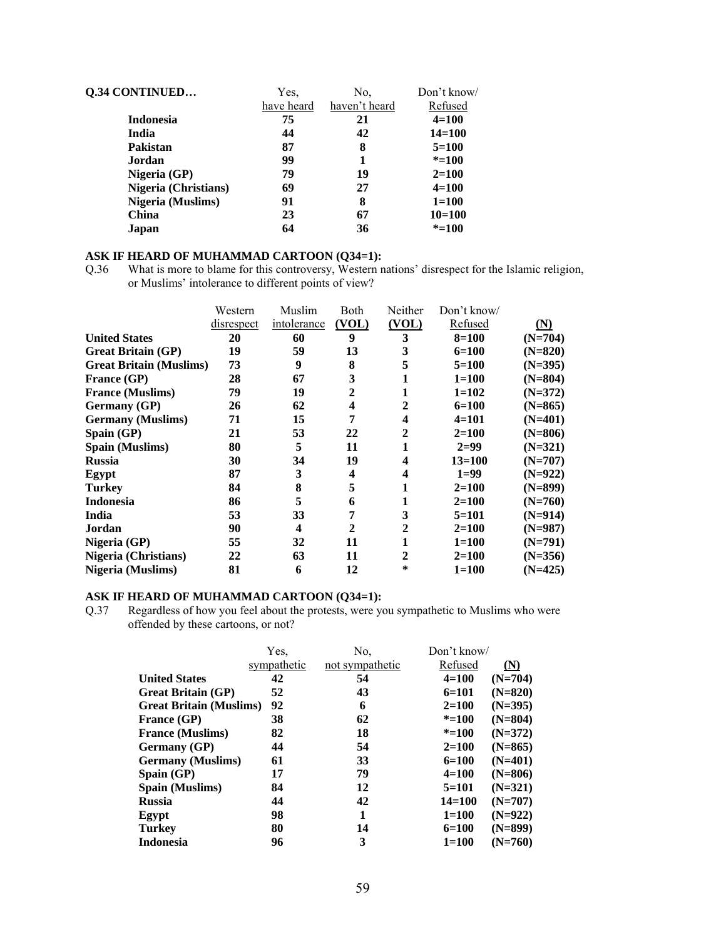| <b>Q.34 CONTINUED</b>       | Yes.       | No.           | Don't know/ |
|-----------------------------|------------|---------------|-------------|
|                             | have heard | haven't heard | Refused     |
| <b>Indonesia</b>            | 75         | 21            | $4 = 100$   |
| India                       | 44         | 42            | $14 = 100$  |
| Pakistan                    | 87         | 8             | $5=100$     |
| Jordan                      | 99         | 1             | $* = 100$   |
| Nigeria (GP)                | 79         | 19            | $2 = 100$   |
| <b>Nigeria</b> (Christians) | 69         | 27            | $4 = 100$   |
| <b>Nigeria</b> (Muslims)    | 91         | 8             | $1 = 100$   |
| China                       | 23         | 67            | $10=100$    |
| Japan                       | 64         | 36            | $* = 100$   |

## **ASK IF HEARD OF MUHAMMAD CARTOON (Q34=1):**

Q.36 What is more to blame for this controversy, Western nations' disrespect for the Islamic religion, or Muslims' intolerance to different points of view?

|                              |                                | Western    | Muslim           | Both                    | Neither | Don't know/ |            |
|------------------------------|--------------------------------|------------|------------------|-------------------------|---------|-------------|------------|
|                              |                                | disrespect | intolerance      | (VOL)                   | (VOL)   | Refused     | <u>(N)</u> |
| <b>United States</b>         |                                | 20         | 60               | 9                       | 3       | $8 = 100$   | $(N=704)$  |
|                              | <b>Great Britain (GP)</b>      | 19         | 59               | 13                      | 3       | $6=100$     | $(N=820)$  |
|                              | <b>Great Britain (Muslims)</b> | 73         | $\boldsymbol{9}$ | 8                       | 5       | $5=100$     | $(N=395)$  |
| <b>France (GP)</b>           |                                | 28         | 67               | 3                       |         | $1 = 100$   | $(N=804)$  |
|                              | <b>France (Muslims)</b>        | 79         | 19               | 2                       |         | $1 = 102$   | $(N=372)$  |
|                              | <b>Germany</b> (GP)            | 26         | 62               | 4                       | 2       | $6=100$     | $(N=865)$  |
|                              | <b>Germany</b> (Muslims)       | 71         | 15               | 7                       | 4       | $4=101$     | $(N=401)$  |
| $\mathbf{Span}(\mathbf{GP})$ |                                | 21         | 53               | 22                      | 2       | $2=100$     | $(N=806)$  |
|                              | <b>Spain (Muslims)</b>         | 80         | 5                | 11                      | 1       | $2=99$      | $(N=321)$  |
| <b>Russia</b>                |                                | 30         | 34               | 19                      | 4       | $13 = 100$  | $(N=707)$  |
| Egypt                        |                                | 87         | 3                | $\overline{\mathbf{4}}$ | 4       | $1=99$      | $(N=922)$  |
| <b>Turkey</b>                |                                | 84         | 8                | 5                       |         | $2=100$     | $(N=899)$  |
| <b>Indonesia</b>             |                                | 86         | 5                | 6                       |         | $2=100$     | $(N=760)$  |
| India                        |                                | 53         | 33               | 7                       | 3       | $5=101$     | $(N=914)$  |
| Jordan                       |                                | 90         | 4                | 2                       | 2       | $2=100$     | $(N=987)$  |
| Nigeria (GP)                 |                                | 55         | 32               | 11                      | 1       | $1 = 100$   | $(N=791)$  |
|                              | <b>Nigeria</b> (Christians)    | 22         | 63               | 11                      | 2       | $2 = 100$   | $(N=356)$  |
|                              | Nigeria (Muslims)              | 81         | 6                | 12                      | $\ast$  | $1 = 100$   | $(N=425)$  |

## **ASK IF HEARD OF MUHAMMAD CARTOON (Q34=1):**

Q.37 Regardless of how you feel about the protests, were you sympathetic to Muslims who were offended by these cartoons, or not?

|                                | Yes.        | No.             | Don't know/ |           |
|--------------------------------|-------------|-----------------|-------------|-----------|
|                                | sympathetic | not sympathetic | Refused     | (N)       |
| <b>United States</b>           | 42          | 54              | $4 = 100$   | $(N=704)$ |
| <b>Great Britain (GP)</b>      | 52          | 43              | $6=101$     | $(N=820)$ |
| <b>Great Britain (Muslims)</b> | 92          | 6               | $2=100$     | $(N=395)$ |
| <b>France (GP)</b>             | 38          | 62              | $* = 100$   | $(N=804)$ |
| <b>France (Muslims)</b>        | 82          | 18              | $* = 100$   | $(N=372)$ |
| <b>Germany</b> (GP)            | 44          | 54              | $2=100$     | $(N=865)$ |
| <b>Germany</b> (Muslims)       | 61          | 33              | $6=100$     | $(N=401)$ |
| $\mathbf{Span}(\mathbf{GP})$   | 17          | 79              | $4 = 100$   | $(N=806)$ |
| <b>Spain (Muslims)</b>         | 84          | 12              | $5=101$     | $(N=321)$ |
| <b>Russia</b>                  | 44          | 42              | $14 = 100$  | $(N=707)$ |
| Egypt                          | 98          | 1               | $1 = 100$   | $(N=922)$ |
| <b>Turkey</b>                  | 80          | 14              | $6=100$     | $(N=899)$ |
| <b>Indonesia</b>               | 96          | 3               | $1 = 100$   | $(N=760)$ |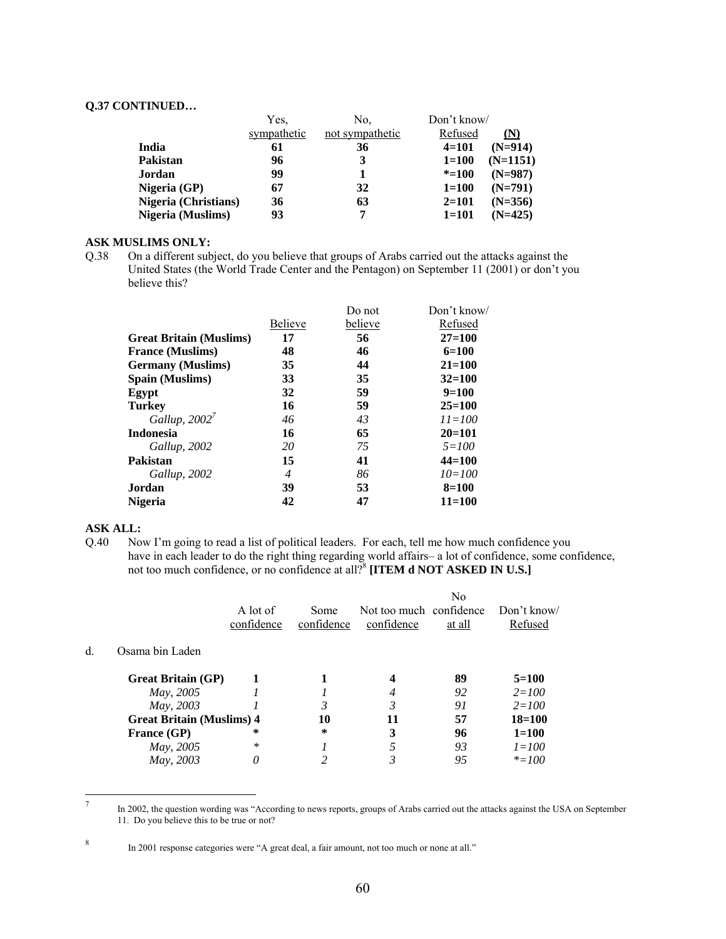#### **Q.37 CONTINUED…**

|                      | Yes,        | Don't know/<br>No. |           |            |
|----------------------|-------------|--------------------|-----------|------------|
|                      | sympathetic | not sympathetic    | Refused   | (N)        |
| India                | 61          | 36                 | $4=101$   | $(N=914)$  |
| Pakistan             | 96          | 3                  | $1 = 100$ | $(N=1151)$ |
| Jordan               | 99          |                    | $* = 100$ | $(N=987)$  |
| Nigeria (GP)         | 67          | 32                 | $1 = 100$ | $(N=791)$  |
| Nigeria (Christians) | 36          | 63                 | $2 = 101$ | $(N=356)$  |
| Nigeria (Muslims)    | 93          |                    | $1 = 101$ | $(N=425)$  |

## **ASK MUSLIMS ONLY:**

Q.38 On a different subject, do you believe that groups of Arabs carried out the attacks against the United States (the World Trade Center and the Pentagon) on September 11 (2001) or don't you believe this?

|                                |                | Do not  | Don't know/ |
|--------------------------------|----------------|---------|-------------|
|                                | <b>Believe</b> | believe | Refused     |
| <b>Great Britain (Muslims)</b> | 17             | 56      | $27 = 100$  |
| <b>France (Muslims)</b>        | 48             | 46      | $6=100$     |
| <b>Germany</b> (Muslims)       | 35             | 44      | $21 = 100$  |
| Spain (Muslims)                | 33             | 35      | $32 = 100$  |
| Egypt                          | 32             | 59      | $9=100$     |
| <b>Turkey</b>                  | 16             | 59      | $25=100$    |
| Gallup, $2002^7$               | 46             | 43      | $11 = 100$  |
| <b>Indonesia</b>               | 16             | 65      | $20=101$    |
| Gallup, 2002                   | 20             | 75      | $5 = 100$   |
| Pakistan                       | 15             | 41      | $44 = 100$  |
| Gallup, 2002                   | $\overline{4}$ | 86      | $10=100$    |
| Jordan                         | 39             | 53      | $8 = 100$   |
| Nigeria                        | 42             | 47      | $11 = 100$  |
|                                |                |         |             |

#### **ASK ALL:**

Q.40 Now I'm going to read a list of political leaders. For each, tell me how much confidence you have in each leader to do the right thing regarding world affairs– a lot of confidence, some confidence, not too much confidence, or no confidence at all?<sup>8</sup> [ITEM **d NOT ASKED IN U.S.**]

|    |                                  |            |            |                         | No     |            |
|----|----------------------------------|------------|------------|-------------------------|--------|------------|
|    |                                  | A lot of   | Some       | Not too much confidence |        | Don't know |
|    |                                  | confidence | confidence | confidence              | at all | Refused    |
| d. | Osama bin Laden                  |            |            |                         |        |            |
|    | <b>Great Britain (GP)</b>        |            |            |                         | 89     | $5=100$    |
|    | May, 2005                        |            |            | 4                       | 92     | $2 = 100$  |
|    | May, 2003                        |            |            | 3                       | 91     | $2 = 100$  |
|    | <b>Great Britain (Muslims) 4</b> |            | 10         | 11                      | 57     | $18 = 100$ |
|    | <b>France (GP)</b>               | *          | *          | 3                       | 96     | $1 = 100$  |
|    | May, 2005                        | ∗          |            |                         | 93     | $1 = 100$  |
|    | May, 2003                        | 0          |            |                         | 95     | $* = 100$  |

<sup>-&</sup>lt;br>7 In 2002, the question wording was "According to news reports, groups of Arabs carried out the attacks against the USA on September 11. Do you believe this to be true or not?

<sup>8</sup>

In 2001 response categories were "A great deal, a fair amount, not too much or none at all."